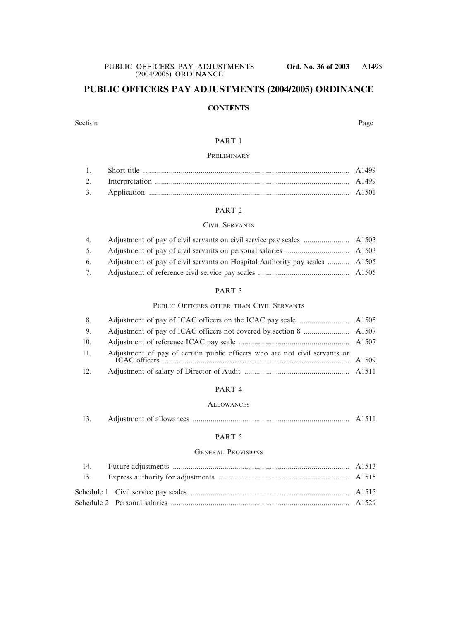# **PUBLIC OFFICERS PAY ADJUSTMENTS (2004/2005) ORDINANCE**

### **CONTENTS**

Section Page

### PART 1

### **PRELIMINARY**

### PART 2

### CIVIL SERVANTS

| 5. |                                                                                |  |
|----|--------------------------------------------------------------------------------|--|
|    | 6. Adjustment of pay of civil servants on Hospital Authority pay scales  A1505 |  |
| 7. |                                                                                |  |

### PART 3

### PUBLIC OFFICERS OTHER THAN CIVIL SERVANTS

| 8.  |                                                                            |  |
|-----|----------------------------------------------------------------------------|--|
| 9.  |                                                                            |  |
| 10. |                                                                            |  |
| 11. | Adjustment of pay of certain public officers who are not civil servants or |  |
| 12. |                                                                            |  |

### PART 4

### **ALLOWANCES**

|  | 13. |  |  |  |  |  |  |
|--|-----|--|--|--|--|--|--|
|--|-----|--|--|--|--|--|--|

### PART<sub>5</sub>

### GENERAL PROVISIONS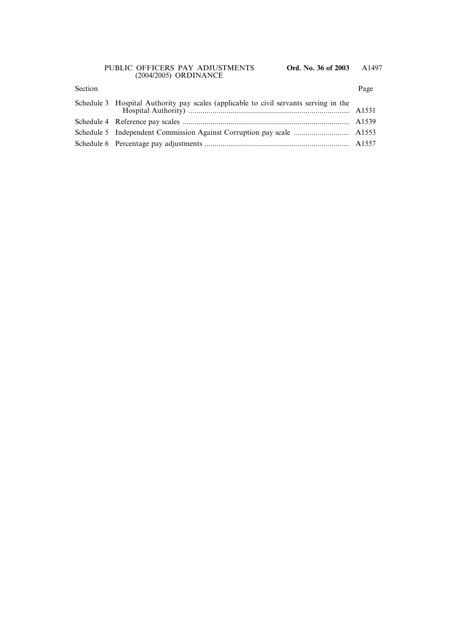### Section Page

| Schedule 3 Hospital Authority pay scales (applicable to civil servants serving in the |  |
|---------------------------------------------------------------------------------------|--|
|                                                                                       |  |
|                                                                                       |  |
|                                                                                       |  |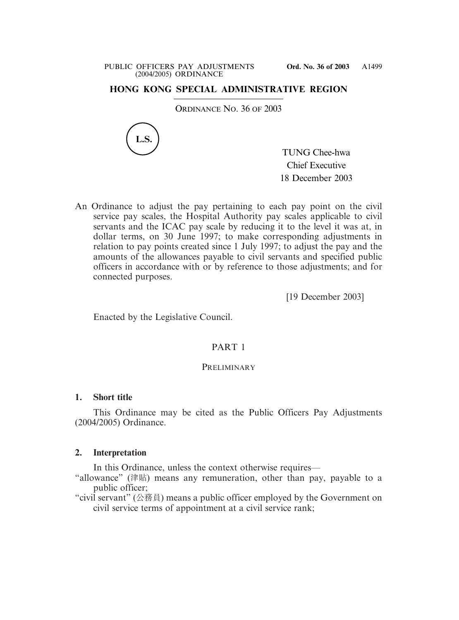# **HONG KONG SPECIAL ADMINISTRATIVE REGION**

ORDINANCE NO. 36 OF 2003



TUNG Chee-hwa Chief Executive 18 December 2003

An Ordinance to adjust the pay pertaining to each pay point on the civil service pay scales, the Hospital Authority pay scales applicable to civil servants and the ICAC pay scale by reducing it to the level it was at, in dollar terms, on 30 June 1997; to make corresponding adjustments in relation to pay points created since 1 July 1997; to adjust the pay and the amounts of the allowances payable to civil servants and specified public officers in accordance with or by reference to those adjustments; and for connected purposes.

[19 December 2003]

Enacted by the Legislative Council.

# PART 1

## **PRELIMINARY**

### **1. Short title**

This Ordinance may be cited as the Public Officers Pay Adjustments (2004/2005) Ordinance.

### **2. Interpretation**

In this Ordinance, unless the context otherwise requires—

"allowance" (津貼) means any remuneration, other than pay, payable to a public officer;

"civil servant" (公務員) means a public officer employed by the Government on civil service terms of appointment at a civil service rank;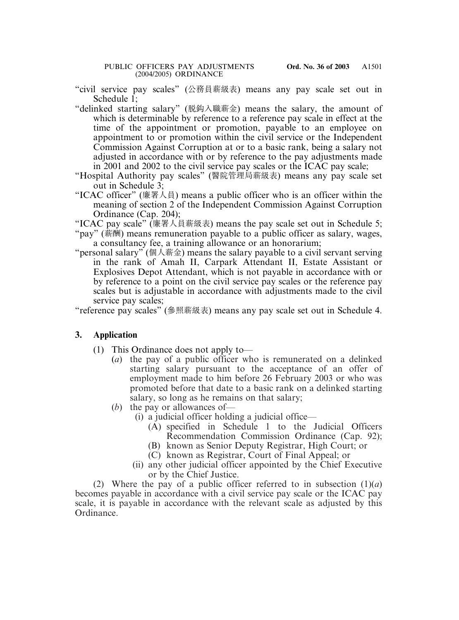"civil service pay scales" (公務員薪級表) means any pay scale set out in Schedule 1;

"delinked starting salary" (脫漖入職薪金) means the salary, the amount of which is determinable by reference to a reference pay scale in effect at the time of the appointment or promotion, payable to an employee on appointment to or promotion within the civil service or the Independent Commission Against Corruption at or to a basic rank, being a salary not adjusted in accordance with or by reference to the pay adjustments made in 2001 and 2002 to the civil service pay scales or the ICAC pay scale;

- "Hospital Authority pay scales" (醫院管理局薪級表) means any pay scale set out in Schedule 3;
- "ICAC officer" (廉署人員) means a public officer who is an officer within the meaning of section 2 of the Independent Commission Against Corruption Ordinance (Cap. 204);
- "ICAC pay scale" (廉署人員薪級表) means the pay scale set out in Schedule 5;
- "pay" (薪酬) means remuneration payable to a public officer as salary, wages, a consultancy fee, a training allowance or an honorarium;
- "personal salary" (個人薪金) means the salary payable to a civil servant serving in the rank of Amah II, Carpark Attendant II, Estate Assistant or Explosives Depot Attendant, which is not payable in accordance with or by reference to a point on the civil service pay scales or the reference pay scales but is adjustable in accordance with adjustments made to the civil service pay scales;

"reference pay scales" (參照薪級表) means any pay scale set out in Schedule 4.

# **3. Application**

- (1) This Ordinance does not apply to—
	- (*a*) the pay of a public officer who is remunerated on a delinked starting salary pursuant to the acceptance of an offer of employment made to him before 26 February 2003 or who was promoted before that date to a basic rank on a delinked starting salary, so long as he remains on that salary;
	- (*b*) the pay or allowances of—
		- (i) a judicial officer holding a judicial office—
			- (A) specified in Schedule 1 to the Judicial Officers Recommendation Commission Ordinance (Cap. 92);
			- (B) known as Senior Deputy Registrar, High Court; or
			- (C) known as Registrar, Court of Final Appeal; or
		- (ii) any other judicial officer appointed by the Chief Executive or by the Chief Justice.

(2) Where the pay of a public officer referred to in subsection  $(1)(a)$ becomes payable in accordance with a civil service pay scale or the ICAC pay scale, it is payable in accordance with the relevant scale as adjusted by this Ordinance.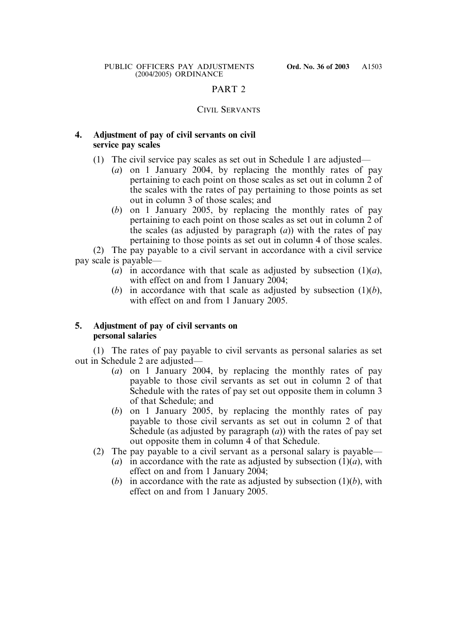# PART 2

# CIVIL SERVANTS

# **4. Adjustment of pay of civil servants on civil service pay scales**

- (1) The civil service pay scales as set out in Schedule 1 are adjusted—
	- (*a*) on 1 January 2004, by replacing the monthly rates of pay pertaining to each point on those scales as set out in column 2 of the scales with the rates of pay pertaining to those points as set out in column 3 of those scales; and
	- (*b*) on 1 January 2005, by replacing the monthly rates of pay pertaining to each point on those scales as set out in column 2 of the scales (as adjusted by paragraph  $(a)$ ) with the rates of pay pertaining to those points as set out in column 4 of those scales.

(2) The pay payable to a civil servant in accordance with a civil service pay scale is payable—

- (*a*) in accordance with that scale as adjusted by subsection  $(1)(a)$ , with effect on and from 1 January 2004;
- (*b*) in accordance with that scale as adjusted by subsection  $(1)(b)$ , with effect on and from 1 January 2005.

# **5. Adjustment of pay of civil servants on personal salaries**

(1) The rates of pay payable to civil servants as personal salaries as set out in Schedule 2 are adjusted—

- (*a*) on 1 January 2004, by replacing the monthly rates of pay payable to those civil servants as set out in column 2 of that Schedule with the rates of pay set out opposite them in column 3 of that Schedule; and
- (*b*) on 1 January 2005, by replacing the monthly rates of pay payable to those civil servants as set out in column 2 of that Schedule (as adjusted by paragraph (*a*)) with the rates of pay set out opposite them in column 4 of that Schedule.
- (2) The pay payable to a civil servant as a personal salary is payable—
	- (*a*) in accordance with the rate as adjusted by subsection  $(1)(a)$ , with effect on and from 1 January 2004;
	- (*b*) in accordance with the rate as adjusted by subsection (1)(*b*), with effect on and from 1 January 2005.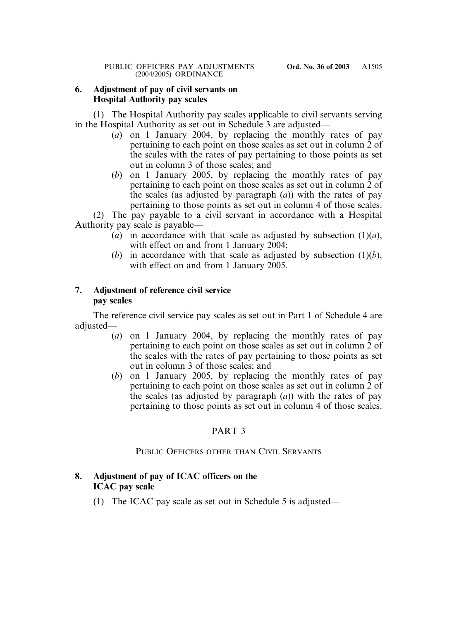# **6. Adjustment of pay of civil servants on Hospital Authority pay scales**

(1) The Hospital Authority pay scales applicable to civil servants serving in the Hospital Authority as set out in Schedule 3 are adjusted—

- (*a*) on 1 January 2004, by replacing the monthly rates of pay pertaining to each point on those scales as set out in column 2 of the scales with the rates of pay pertaining to those points as set out in column 3 of those scales; and
- (*b*) on 1 January 2005, by replacing the monthly rates of pay pertaining to each point on those scales as set out in column 2 of the scales (as adjusted by paragraph (*a*)) with the rates of pay pertaining to those points as set out in column 4 of those scales.

(2) The pay payable to a civil servant in accordance with a Hospital Authority pay scale is payable—

- (*a*) in accordance with that scale as adjusted by subsection  $(1)(a)$ , with effect on and from 1 January 2004;
- (*b*) in accordance with that scale as adjusted by subsection (1)(*b*), with effect on and from 1 January 2005.

# **7. Adjustment of reference civil service pay scales**

The reference civil service pay scales as set out in Part 1 of Schedule 4 are adjusted—

- (*a*) on 1 January 2004, by replacing the monthly rates of pay pertaining to each point on those scales as set out in column 2 of the scales with the rates of pay pertaining to those points as set out in column 3 of those scales; and
- (*b*) on 1 January 2005, by replacing the monthly rates of pay pertaining to each point on those scales as set out in column 2 of the scales (as adjusted by paragraph  $(a)$ ) with the rates of pay pertaining to those points as set out in column 4 of those scales.

# PART 3

# PUBLIC OFFICERS OTHER THAN CIVIL SERVANTS

# **8. Adjustment of pay of ICAC officers on the ICAC pay scale**

(1) The ICAC pay scale as set out in Schedule 5 is adjusted—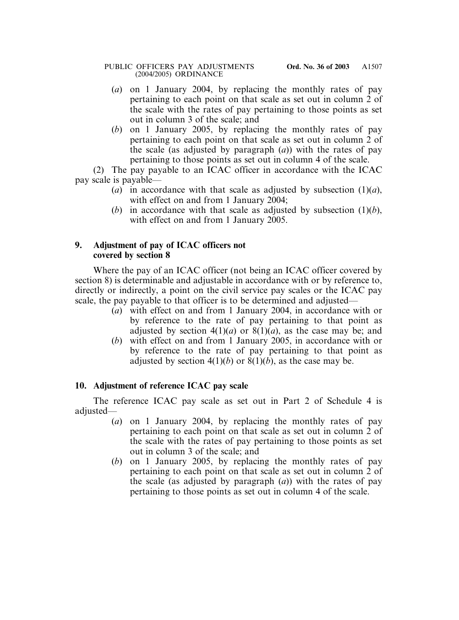- (*a*) on 1 January 2004, by replacing the monthly rates of pay pertaining to each point on that scale as set out in column 2 of the scale with the rates of pay pertaining to those points as set out in column 3 of the scale; and
- (*b*) on 1 January 2005, by replacing the monthly rates of pay pertaining to each point on that scale as set out in column 2 of the scale (as adjusted by paragraph (*a*)) with the rates of pay pertaining to those points as set out in column 4 of the scale.

(2) The pay payable to an ICAC officer in accordance with the ICAC pay scale is payable—

- (*a*) in accordance with that scale as adjusted by subsection (1)(*a*), with effect on and from 1 January 2004;
- (*b*) in accordance with that scale as adjusted by subsection (1)(*b*), with effect on and from 1 January 2005.

# **9. Adjustment of pay of ICAC officers not covered by section 8**

Where the pay of an ICAC officer (not being an ICAC officer covered by section 8) is determinable and adjustable in accordance with or by reference to, directly or indirectly, a point on the civil service pay scales or the ICAC pay scale, the pay payable to that officer is to be determined and adjusted—

- (*a*) with effect on and from 1 January 2004, in accordance with or by reference to the rate of pay pertaining to that point as adjusted by section  $4(1)(a)$  or  $8(1)(a)$ , as the case may be; and
- (*b*) with effect on and from 1 January 2005, in accordance with or by reference to the rate of pay pertaining to that point as adjusted by section  $4(1)(b)$  or  $8(1)(b)$ , as the case may be.

# **10. Adjustment of reference ICAC pay scale**

The reference ICAC pay scale as set out in Part 2 of Schedule 4 is adjusted—

- (*a*) on 1 January 2004, by replacing the monthly rates of pay pertaining to each point on that scale as set out in column 2 of the scale with the rates of pay pertaining to those points as set out in column 3 of the scale; and
- (*b*) on 1 January 2005, by replacing the monthly rates of pay pertaining to each point on that scale as set out in column 2 of the scale (as adjusted by paragraph (*a*)) with the rates of pay pertaining to those points as set out in column 4 of the scale.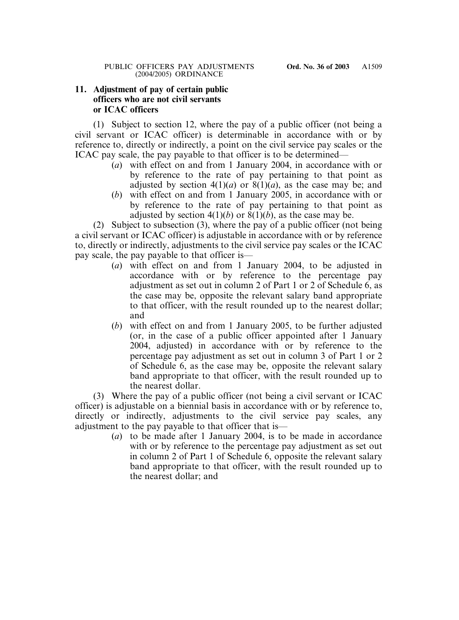# **11. Adjustment of pay of certain public officers who are not civil servants or ICAC officers**

(1) Subject to section 12, where the pay of a public officer (not being a civil servant or ICAC officer) is determinable in accordance with or by reference to, directly or indirectly, a point on the civil service pay scales or the ICAC pay scale, the pay payable to that officer is to be determined—

- (*a*) with effect on and from 1 January 2004, in accordance with or by reference to the rate of pay pertaining to that point as adjusted by section  $4(1)(a)$  or  $8(1)(a)$ , as the case may be; and
- (*b*) with effect on and from 1 January 2005, in accordance with or by reference to the rate of pay pertaining to that point as adjusted by section  $4(1)(b)$  or  $8(1)(b)$ , as the case may be.

(2) Subject to subsection (3), where the pay of a public officer (not being a civil servant or ICAC officer) is adjustable in accordance with or by reference to, directly or indirectly, adjustments to the civil service pay scales or the ICAC pay scale, the pay payable to that officer is—

- (*a*) with effect on and from 1 January 2004, to be adjusted in accordance with or by reference to the percentage pay adjustment as set out in column 2 of Part 1 or 2 of Schedule 6, as the case may be, opposite the relevant salary band appropriate to that officer, with the result rounded up to the nearest dollar; and
- (*b*) with effect on and from 1 January 2005, to be further adjusted (or, in the case of a public officer appointed after 1 January 2004, adjusted) in accordance with or by reference to the percentage pay adjustment as set out in column 3 of Part 1 or 2 of Schedule 6, as the case may be, opposite the relevant salary band appropriate to that officer, with the result rounded up to the nearest dollar.

(3) Where the pay of a public officer (not being a civil servant or ICAC officer) is adjustable on a biennial basis in accordance with or by reference to, directly or indirectly, adjustments to the civil service pay scales, any adjustment to the pay payable to that officer that is—

(*a*) to be made after 1 January 2004, is to be made in accordance with or by reference to the percentage pay adjustment as set out in column 2 of Part 1 of Schedule 6, opposite the relevant salary band appropriate to that officer, with the result rounded up to the nearest dollar; and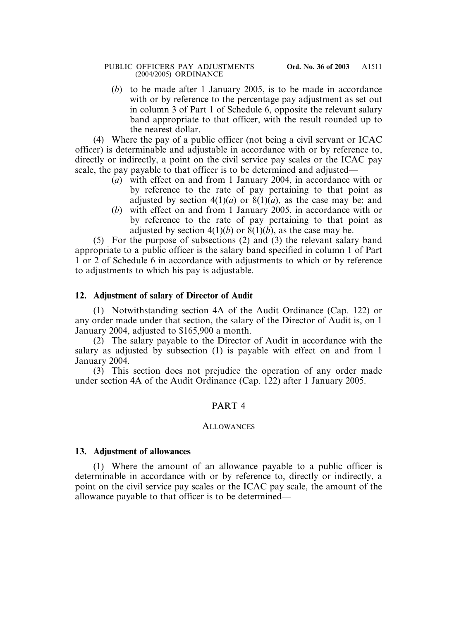(*b*) to be made after 1 January 2005, is to be made in accordance with or by reference to the percentage pay adjustment as set out in column 3 of Part 1 of Schedule 6, opposite the relevant salary band appropriate to that officer, with the result rounded up to the nearest dollar.

(4) Where the pay of a public officer (not being a civil servant or ICAC officer) is determinable and adjustable in accordance with or by reference to, directly or indirectly, a point on the civil service pay scales or the ICAC pay scale, the pay payable to that officer is to be determined and adjusted—

- (*a*) with effect on and from 1 January 2004, in accordance with or by reference to the rate of pay pertaining to that point as adjusted by section  $4(1)(a)$  or  $8(1)(a)$ , as the case may be; and
- (*b*) with effect on and from 1 January 2005, in accordance with or by reference to the rate of pay pertaining to that point as adjusted by section  $4(1)(b)$  or  $8(1)(b)$ , as the case may be.

(5) For the purpose of subsections (2) and (3) the relevant salary band appropriate to a public officer is the salary band specified in column 1 of Part 1 or 2 of Schedule 6 in accordance with adjustments to which or by reference to adjustments to which his pay is adjustable.

# **12. Adjustment of salary of Director of Audit**

(1) Notwithstanding section 4A of the Audit Ordinance (Cap. 122) or any order made under that section, the salary of the Director of Audit is, on 1 January 2004, adjusted to \$165,900 a month.

(2) The salary payable to the Director of Audit in accordance with the salary as adjusted by subsection (1) is payable with effect on and from 1 January 2004.

(3) This section does not prejudice the operation of any order made under section 4A of the Audit Ordinance (Cap. 122) after 1 January 2005.

# PART 4

### **ALLOWANCES**

# **13. Adjustment of allowances**

(1) Where the amount of an allowance payable to a public officer is determinable in accordance with or by reference to, directly or indirectly, a point on the civil service pay scales or the ICAC pay scale, the amount of the allowance payable to that officer is to be determined—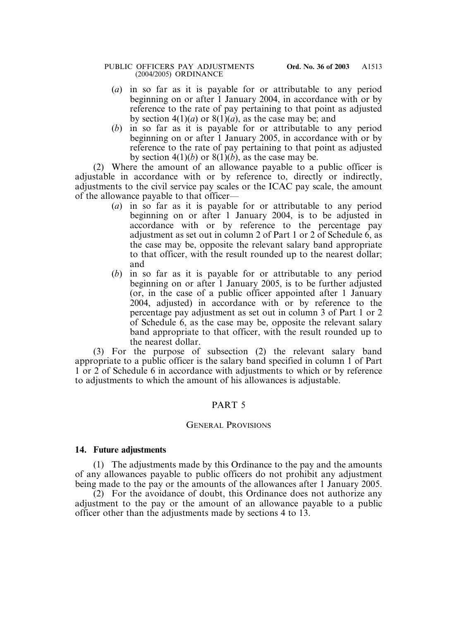- (*a*) in so far as it is payable for or attributable to any period beginning on or after 1 January 2004, in accordance with or by reference to the rate of pay pertaining to that point as adjusted by section  $4(1)(a)$  or  $8(1)(a)$ , as the case may be; and
- (*b*) in so far as it is payable for or attributable to any period beginning on or after 1 January 2005, in accordance with or by reference to the rate of pay pertaining to that point as adjusted by section  $4(1)(b)$  or  $8(1)(b)$ , as the case may be.

(2) Where the amount of an allowance payable to a public officer is adjustable in accordance with or by reference to, directly or indirectly, adjustments to the civil service pay scales or the ICAC pay scale, the amount of the allowance payable to that officer—

- (*a*) in so far as it is payable for or attributable to any period beginning on or after 1 January 2004, is to be adjusted in accordance with or by reference to the percentage pay adjustment as set out in column 2 of Part 1 or 2 of Schedule 6, as the case may be, opposite the relevant salary band appropriate to that officer, with the result rounded up to the nearest dollar; and
- (*b*) in so far as it is payable for or attributable to any period beginning on or after 1 January 2005, is to be further adjusted (or, in the case of a public officer appointed after 1 January 2004, adjusted) in accordance with or by reference to the percentage pay adjustment as set out in column 3 of Part 1 or 2 of Schedule 6, as the case may be, opposite the relevant salary band appropriate to that officer, with the result rounded up to the nearest dollar.

(3) For the purpose of subsection (2) the relevant salary band appropriate to a public officer is the salary band specified in column 1 of Part 1 or 2 of Schedule 6 in accordance with adjustments to which or by reference to adjustments to which the amount of his allowances is adjustable.

# PART 5

### GENERAL PROVISIONS

### **14. Future adjustments**

(1) The adjustments made by this Ordinance to the pay and the amounts of any allowances payable to public officers do not prohibit any adjustment being made to the pay or the amounts of the allowances after 1 January 2005.

(2) For the avoidance of doubt, this Ordinance does not authorize any adjustment to the pay or the amount of an allowance payable to a public officer other than the adjustments made by sections 4 to 13.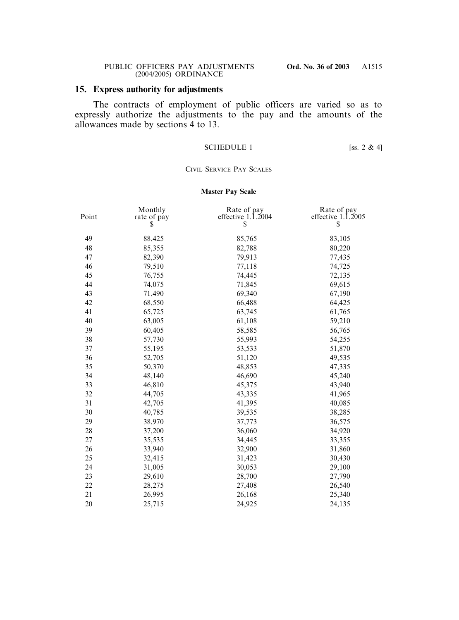## **15. Express authority for adjustments**

The contracts of employment of public officers are varied so as to expressly authorize the adjustments to the pay and the amounts of the allowances made by sections 4 to 13.

### SCHEDULE 1 [ss.  $2 \& 4$ ]

### CIVIL SERVICE PAY SCALES

### **Master Pay Scale**

| Point | Monthly<br>rate of pay<br>S | Rate of pay<br>effective $1.\overline{1}.2004$<br>\$ | Rate of pay<br>effective $1.\overline{1}.2005$<br>\$ |
|-------|-----------------------------|------------------------------------------------------|------------------------------------------------------|
| 49    | 88,425                      | 85,765                                               | 83,105                                               |
| 48    | 85,355                      | 82,788                                               | 80,220                                               |
| 47    | 82,390                      | 79,913                                               | 77,435                                               |
| 46    | 79,510                      | 77,118                                               | 74,725                                               |
| 45    | 76,755                      | 74,445                                               | 72,135                                               |
| 44    | 74,075                      | 71,845                                               | 69,615                                               |
| 43    | 71,490                      | 69,340                                               | 67,190                                               |
| 42    | 68,550                      | 66,488                                               | 64,425                                               |
| 41    | 65,725                      | 63,745                                               | 61,765                                               |
| 40    | 63,005                      | 61,108                                               | 59,210                                               |
| 39    | 60,405                      | 58,585                                               | 56,765                                               |
| 38    | 57,730                      | 55,993                                               | 54,255                                               |
| 37    | 55,195                      | 53,533                                               | 51,870                                               |
| 36    | 52,705                      | 51,120                                               | 49,535                                               |
| 35    | 50,370                      | 48,853                                               | 47,335                                               |
| 34    | 48,140                      | 46,690                                               | 45,240                                               |
| 33    | 46,810                      | 45,375                                               | 43,940                                               |
| 32    | 44,705                      | 43,335                                               | 41,965                                               |
| 31    | 42,705                      | 41,395                                               | 40,085                                               |
| 30    | 40,785                      | 39,535                                               | 38,285                                               |
| 29    | 38,970                      | 37,773                                               | 36,575                                               |
| 28    | 37,200                      | 36,060                                               | 34,920                                               |
| 27    | 35,535                      | 34,445                                               | 33,355                                               |
| 26    | 33,940                      | 32,900                                               | 31,860                                               |
| 25    | 32,415                      | 31,423                                               | 30,430                                               |
| 24    | 31,005                      | 30,053                                               | 29,100                                               |
| 23    | 29,610                      | 28,700                                               | 27,790                                               |
| 22    | 28,275                      | 27,408                                               | 26,540                                               |
| 21    | 26,995                      | 26,168                                               | 25,340                                               |
| 20    | 25,715                      | 24,925                                               | 24,135                                               |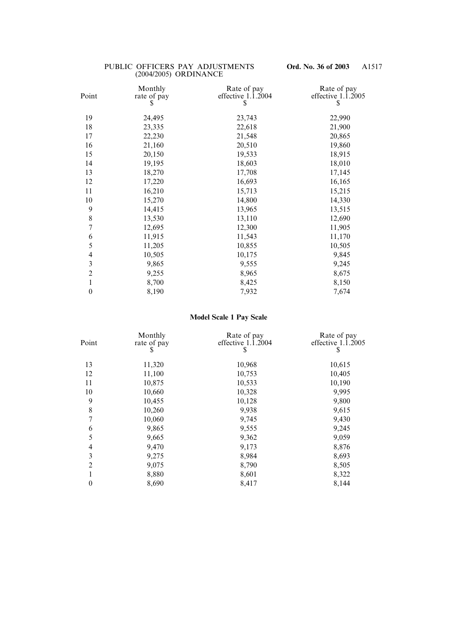| Monthly<br>rate of pay | Rate of pay<br>effective $1.\overline{1}.2004$              | Rate of pay<br>effective $1.\overline{1}.2005$<br>S   |
|------------------------|-------------------------------------------------------------|-------------------------------------------------------|
|                        |                                                             |                                                       |
|                        |                                                             | 22,990                                                |
| 23,335                 | 22,618                                                      | 21,900                                                |
| 22,230                 | 21,548                                                      | 20,865                                                |
| 21,160                 | 20,510                                                      | 19,860                                                |
| 20,150                 | 19,533                                                      | 18,915                                                |
| 19,195                 | 18,603                                                      | 18,010                                                |
| 18,270                 | 17,708                                                      | 17,145                                                |
| 17,220                 | 16,693                                                      | 16,165                                                |
| 16,210                 | 15,713                                                      | 15,215                                                |
| 15,270                 | 14,800                                                      | 14,330                                                |
| 14,415                 | 13,965                                                      | 13,515                                                |
| 13,530                 | 13,110                                                      | 12,690                                                |
| 12,695                 | 12,300                                                      | 11,905                                                |
| 11,915                 | 11,543                                                      | 11,170                                                |
|                        |                                                             | 10,505                                                |
|                        |                                                             | 9,845                                                 |
|                        |                                                             | 9,245                                                 |
|                        |                                                             | 8,675                                                 |
|                        |                                                             | 8,150                                                 |
| 8,190                  | 7,932                                                       | 7,674                                                 |
|                        | \$<br>24,495<br>11,205<br>10,505<br>9,865<br>9,255<br>8,700 | 23,743<br>10,855<br>10,175<br>9,555<br>8,965<br>8,425 |

## **Model Scale 1 Pay Scale**

| Point            | Monthly<br>rate of pay<br>S | Rate of pay<br>effective $1.\overline{1}.\overline{2}004$<br>S | Rate of pay<br>effective $1.\overline{1}.\overline{2}005$<br>S |
|------------------|-----------------------------|----------------------------------------------------------------|----------------------------------------------------------------|
| 13               | 11,320                      | 10,968                                                         | 10,615                                                         |
| 12               | 11,100                      | 10,753                                                         | 10,405                                                         |
| 11               | 10,875                      | 10,533                                                         | 10,190                                                         |
| 10               | 10,660                      | 10,328                                                         | 9,995                                                          |
| 9                | 10,455                      | 10,128                                                         | 9,800                                                          |
| 8                | 10,260                      | 9,938                                                          | 9,615                                                          |
| $\overline{7}$   | 10,060                      | 9,745                                                          | 9,430                                                          |
| 6                | 9,865                       | 9,555                                                          | 9,245                                                          |
| 5                | 9,665                       | 9,362                                                          | 9,059                                                          |
| $\overline{4}$   | 9,470                       | 9,173                                                          | 8,876                                                          |
| 3                | 9,275                       | 8,984                                                          | 8,693                                                          |
| $\overline{2}$   | 9,075                       | 8,790                                                          | 8,505                                                          |
|                  | 8,880                       | 8,601                                                          | 8,322                                                          |
| $\boldsymbol{0}$ | 8,690                       | 8,417                                                          | 8,144                                                          |
|                  |                             |                                                                |                                                                |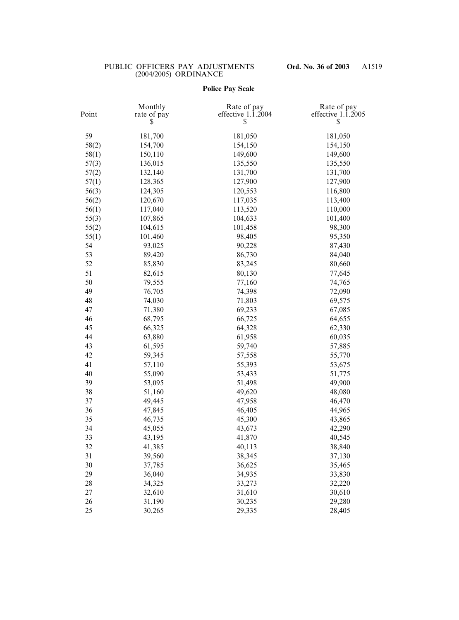## **Police Pay Scale**

| Point | Monthly<br>rate of pay | Rate of pay<br>effective $1.\overline{1}.\overline{2}004$<br>\$ | Rate of pay<br>effective $1.\overline{1}.\overline{2}005$<br>\$ |
|-------|------------------------|-----------------------------------------------------------------|-----------------------------------------------------------------|
| 59    | 181,700                | 181,050                                                         | 181,050                                                         |
| 58(2) | 154,700                | 154,150                                                         | 154,150                                                         |
| 58(1) | 150,110                | 149,600                                                         | 149,600                                                         |
| 57(3) | 136,015                | 135,550                                                         | 135,550                                                         |
| 57(2) | 132,140                | 131,700                                                         | 131,700                                                         |
| 57(1) | 128,365                | 127,900                                                         | 127,900                                                         |
| 56(3) | 124,305                | 120,553                                                         | 116,800                                                         |
| 56(2) | 120,670                | 117,035                                                         | 113,400                                                         |
| 56(1) | 117,040                | 113,520                                                         | 110,000                                                         |
| 55(3) | 107,865                | 104,633                                                         | 101,400                                                         |
| 55(2) | 104,615                | 101,458                                                         | 98,300                                                          |
| 55(1) | 101,460                | 98,405                                                          | 95,350                                                          |
| 54    | 93,025                 | 90,228                                                          | 87,430                                                          |
| 53    | 89,420                 | 86,730                                                          | 84,040                                                          |
| 52    | 85,830                 | 83,245                                                          | 80,660                                                          |
| 51    | 82,615                 | 80,130                                                          | 77,645                                                          |
| 50    | 79,555                 | 77,160                                                          | 74,765                                                          |
| 49    | 76,705                 | 74,398                                                          | 72,090                                                          |
| 48    | 74,030                 | 71,803                                                          | 69,575                                                          |
| 47    | 71,380                 | 69,233                                                          | 67,085                                                          |
| 46    | 68,795                 | 66,725                                                          | 64,655                                                          |
| 45    | 66,325                 | 64,328                                                          | 62,330                                                          |
| 44    | 63,880                 | 61,958                                                          | 60,035                                                          |
| 43    | 61,595                 | 59,740                                                          | 57,885                                                          |
| 42    | 59,345                 | 57,558                                                          | 55,770                                                          |
| 41    | 57,110                 | 55,393                                                          | 53,675                                                          |
| 40    | 55,090                 | 53,433                                                          | 51,775                                                          |
| 39    | 53,095                 | 51,498                                                          | 49,900                                                          |
| 38    | 51,160                 | 49,620                                                          | 48,080                                                          |
| 37    | 49,445                 | 47,958                                                          | 46,470                                                          |
| 36    | 47,845                 | 46,405                                                          | 44,965                                                          |
| 35    | 46,735                 | 45,300                                                          | 43,865                                                          |
| 34    | 45,055                 | 43,673                                                          | 42,290                                                          |
| 33    | 43,195                 | 41,870                                                          | 40,545                                                          |
| 32    | 41,385                 | 40,113                                                          | 38,840                                                          |
| 31    | 39,560                 | 38,345                                                          | 37,130                                                          |
| 30    | 37,785                 | 36,625                                                          | 35,465                                                          |
| 29    | 36,040                 | 34,935                                                          | 33,830                                                          |
| 28    | 34,325                 | 33,273                                                          | 32,220                                                          |
| 27    | 32,610                 | 31,610                                                          | 30,610                                                          |
| 26    | 31,190                 | 30,235                                                          | 29,280                                                          |
| 25    | 30,265                 | 29,335                                                          | 28,405                                                          |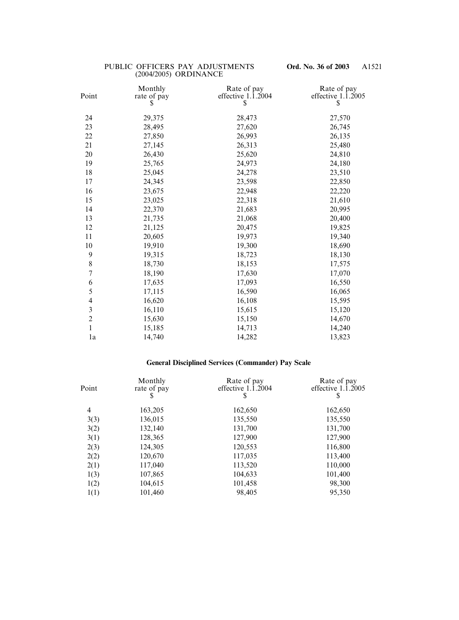| Point                    | Monthly<br>rate of pay<br>S | Rate of pay<br>effective $1.\overline{1}.2004$<br>\$ | Rate of pay<br>effective $1.\overline{1}.2005$<br>\$ |
|--------------------------|-----------------------------|------------------------------------------------------|------------------------------------------------------|
| 24                       | 29,375                      | 28,473                                               | 27,570                                               |
| 23                       | 28,495                      | 27,620                                               | 26,745                                               |
| 22                       | 27,850                      | 26,993                                               | 26,135                                               |
| 21                       | 27,145                      | 26,313                                               | 25,480                                               |
| 20                       | 26,430                      | 25,620                                               | 24,810                                               |
| 19                       | 25,765                      | 24,973                                               | 24,180                                               |
| 18                       | 25,045                      | 24,278                                               | 23,510                                               |
| 17                       | 24,345                      | 23,598                                               | 22,850                                               |
| 16                       | 23,675                      | 22,948                                               | 22,220                                               |
| 15                       | 23,025                      | 22,318                                               | 21,610                                               |
| 14                       | 22,370                      | 21,683                                               | 20,995                                               |
| 13                       | 21,735                      | 21,068                                               | 20,400                                               |
| 12                       | 21,125                      | 20,475                                               | 19,825                                               |
| 11                       | 20,605                      | 19,973                                               | 19,340                                               |
| 10                       | 19,910                      | 19,300                                               | 18,690                                               |
| 9                        | 19,315                      | 18,723                                               | 18,130                                               |
| $\,$ $\,$                | 18,730                      | 18,153                                               | 17,575                                               |
| $\sqrt{ }$               | 18,190                      | 17,630                                               | 17,070                                               |
| 6                        | 17,635                      | 17,093                                               | 16,550                                               |
| 5                        | 17,115                      | 16,590                                               | 16,065                                               |
| $\overline{\mathcal{A}}$ | 16,620                      | 16,108                                               | 15,595                                               |
| $\overline{\mathbf{3}}$  | 16,110                      | 15,615                                               | 15,120                                               |
| $\overline{c}$           | 15,630                      | 15,150                                               | 14,670                                               |
| $\mathbf{1}$             | 15,185                      | 14,713                                               | 14,240                                               |
| 1a                       | 14,740                      | 14,282                                               | 13,823                                               |

# **General Disciplined Services (Commander) Pay Scale**

| Point | Monthly<br>rate of pay<br>S | Rate of pay<br>effective $1.\overline{1}.\overline{2}004$<br>S | Rate of pay<br>effective $1.\overline{1}.\overline{2}005$<br>S |
|-------|-----------------------------|----------------------------------------------------------------|----------------------------------------------------------------|
| 4     | 163,205                     | 162,650                                                        | 162,650                                                        |
| 3(3)  | 136,015                     | 135,550                                                        | 135,550                                                        |
| 3(2)  | 132,140                     | 131,700                                                        | 131,700                                                        |
| 3(1)  | 128,365                     | 127,900                                                        | 127,900                                                        |
| 2(3)  | 124,305                     | 120,553                                                        | 116,800                                                        |
| 2(2)  | 120,670                     | 117,035                                                        | 113,400                                                        |
| 2(1)  | 117,040                     | 113,520                                                        | 110,000                                                        |
| 1(3)  | 107,865                     | 104,633                                                        | 101,400                                                        |
| 1(2)  | 104,615                     | 101,458                                                        | 98,300                                                         |
| 1(1)  | 101,460                     | 98,405                                                         | 95,350                                                         |
|       |                             |                                                                |                                                                |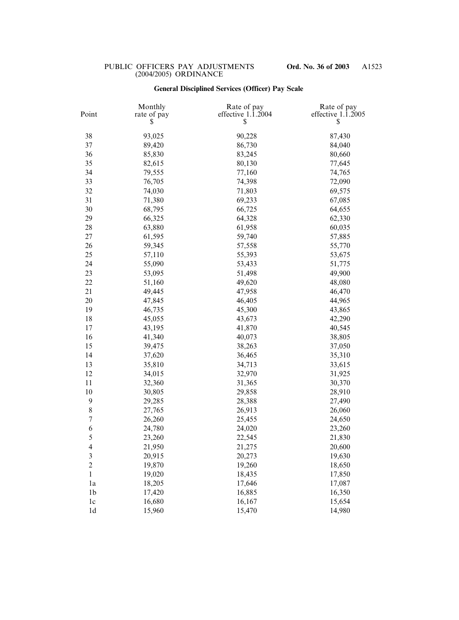# **General Disciplined Services (Officer) Pay Scale**

| Point          | Monthly<br>rate of pay<br>S | Rate of pay<br>effective $1.\overline{1}.\overline{2}004$<br>\$ | Rate of pay<br>effective $1.\overline{1}.2005$<br>\$ |
|----------------|-----------------------------|-----------------------------------------------------------------|------------------------------------------------------|
| 38             | 93,025                      | 90,228                                                          | 87,430                                               |
| 37             | 89,420                      | 86,730                                                          | 84,040                                               |
| 36             | 85,830                      | 83,245                                                          | 80,660                                               |
| 35             | 82,615                      | 80,130                                                          | 77,645                                               |
| 34             | 79,555                      | 77,160                                                          | 74,765                                               |
| 33             | 76,705                      | 74,398                                                          | 72,090                                               |
| 32             | 74,030                      | 71,803                                                          | 69,575                                               |
| 31             | 71,380                      | 69,233                                                          | 67,085                                               |
| 30             | 68,795                      | 66,725                                                          | 64,655                                               |
| 29             | 66,325                      | 64,328                                                          | 62,330                                               |
| 28             | 63,880                      | 61,958                                                          | 60,035                                               |
| 27             | 61,595                      | 59,740                                                          | 57,885                                               |
| 26             | 59,345                      | 57,558                                                          | 55,770                                               |
| 25             | 57,110                      | 55,393                                                          | 53,675                                               |
| 24             | 55,090                      | 53,433                                                          | 51,775                                               |
| 23             | 53,095                      | 51,498                                                          | 49,900                                               |
| 22             | 51,160                      | 49,620                                                          | 48,080                                               |
| 21             | 49,445                      | 47,958                                                          | 46,470                                               |
| 20             | 47,845                      | 46,405                                                          | 44,965                                               |
| 19             | 46,735                      | 45,300                                                          | 43,865                                               |
| 18             | 45,055                      | 43,673                                                          | 42,290                                               |
| 17             | 43,195                      | 41,870                                                          | 40,545                                               |
| 16             | 41,340                      | 40,073                                                          | 38,805                                               |
| 15             | 39,475                      | 38,263                                                          | 37,050                                               |
| 14             | 37,620                      | 36,465                                                          | 35,310                                               |
| 13             | 35,810                      | 34,713                                                          | 33,615                                               |
| 12             | 34,015                      | 32,970                                                          | 31,925                                               |
| 11             | 32,360                      | 31,365                                                          | 30,370                                               |
| 10             | 30,805                      | 29,858                                                          | 28,910                                               |
| 9              | 29,285                      | 28,388                                                          | 27,490                                               |
| 8              | 27,765                      | 26,913                                                          | 26,060                                               |
| $\sqrt{ }$     | 26,260                      | 25,455                                                          | 24,650                                               |
| 6              | 24,780                      | 24,020                                                          | 23,260                                               |
| 5              | 23,260                      | 22,545                                                          | 21,830                                               |
| $\overline{4}$ | 21,950                      | 21,275                                                          | 20,600                                               |
| 3              | 20,915                      | 20,273                                                          | 19,630                                               |
| $\overline{c}$ | 19,870                      | 19,260                                                          | 18,650                                               |
| $\mathbf{1}$   | 19,020                      | 18,435                                                          | 17,850                                               |
| 1a             | 18,205                      | 17,646                                                          | 17,087                                               |
| 1 <sub>b</sub> | 17,420                      | 16,885                                                          | 16,350                                               |
| 1 <sub>c</sub> | 16,680                      | 16,167                                                          | 15,654                                               |
| 1 <sub>d</sub> | 15,960                      | 15,470                                                          | 14,980                                               |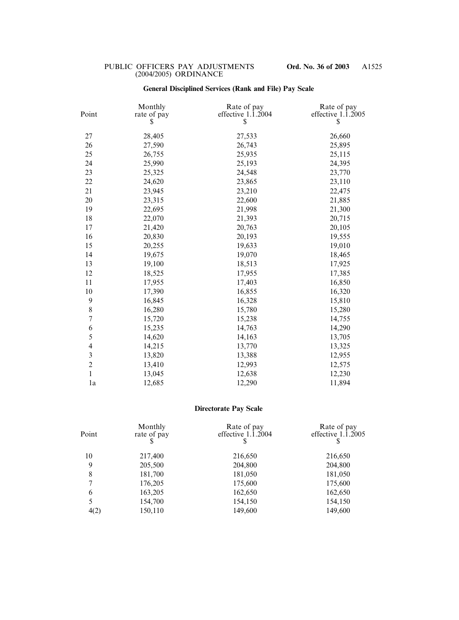## **General Disciplined Services (Rank and File) Pay Scale**

| Point                   | Monthly<br>rate of pay<br>S | Rate of pay<br>effective $1.\overline{1}.\overline{2}004$<br>\$ | Rate of pay<br>effective $1.\overline{1}.\overline{2}005$<br>\$ |
|-------------------------|-----------------------------|-----------------------------------------------------------------|-----------------------------------------------------------------|
| 27                      | 28,405                      | 27,533                                                          | 26,660                                                          |
| 26                      | 27,590                      | 26,743                                                          | 25,895                                                          |
| 25                      | 26,755                      | 25,935                                                          | 25,115                                                          |
| 24                      | 25,990                      | 25,193                                                          | 24,395                                                          |
| 23                      | 25,325                      | 24,548                                                          | 23,770                                                          |
| 22                      | 24,620                      | 23,865                                                          | 23,110                                                          |
| 21                      | 23,945                      | 23,210                                                          | 22,475                                                          |
| 20                      | 23,315                      | 22,600                                                          | 21,885                                                          |
| 19                      | 22,695                      | 21,998                                                          | 21,300                                                          |
| 18                      | 22,070                      | 21,393                                                          | 20,715                                                          |
| 17                      | 21,420                      | 20,763                                                          | 20,105                                                          |
| 16                      | 20,830                      | 20,193                                                          | 19,555                                                          |
| 15                      | 20,255                      | 19,633                                                          | 19,010                                                          |
| 14                      | 19,675                      | 19,070                                                          | 18,465                                                          |
| 13                      | 19,100                      | 18,513                                                          | 17,925                                                          |
| 12                      | 18,525                      | 17,955                                                          | 17,385                                                          |
| 11                      | 17,955                      | 17,403                                                          | 16,850                                                          |
| 10                      | 17,390                      | 16,855                                                          | 16,320                                                          |
| $\boldsymbol{9}$        | 16,845                      | 16,328                                                          | 15,810                                                          |
| $8\,$                   | 16,280                      | 15,780                                                          | 15,280                                                          |
| $\sqrt{ }$              | 15,720                      | 15,238                                                          | 14,755                                                          |
| 6                       | 15,235                      | 14,763                                                          | 14,290                                                          |
| 5                       | 14,620                      | 14,163                                                          | 13,705                                                          |
| $\overline{\mathbf{4}}$ | 14,215                      | 13,770                                                          | 13,325                                                          |
| $\mathfrak{Z}$          | 13,820                      | 13,388                                                          | 12,955                                                          |
| $\overline{c}$          | 13,410                      | 12,993                                                          | 12,575                                                          |
| $\mathbf{1}$            | 13,045                      | 12,638                                                          | 12,230                                                          |
| 1a                      | 12,685                      | 12,290                                                          | 11,894                                                          |

# **Directorate Pay Scale**

| Point | Monthly<br>rate of pay | Rate of pay<br>effective $1.\overline{1}.\overline{2}004$ | Rate of pay<br>effective $1.\overline{1}.\overline{2}005$<br>S |
|-------|------------------------|-----------------------------------------------------------|----------------------------------------------------------------|
| 10    | 217,400                | 216,650                                                   | 216,650                                                        |
| 9     | 205,500                | 204,800                                                   | 204,800                                                        |
| 8     | 181,700                | 181,050                                                   | 181,050                                                        |
| 7     | 176,205                | 175,600                                                   | 175,600                                                        |
| 6     | 163,205                | 162,650                                                   | 162,650                                                        |
| 5     | 154,700                | 154,150                                                   | 154,150                                                        |
| 4(2)  | 150,110                | 149,600                                                   | 149,600                                                        |
|       |                        |                                                           |                                                                |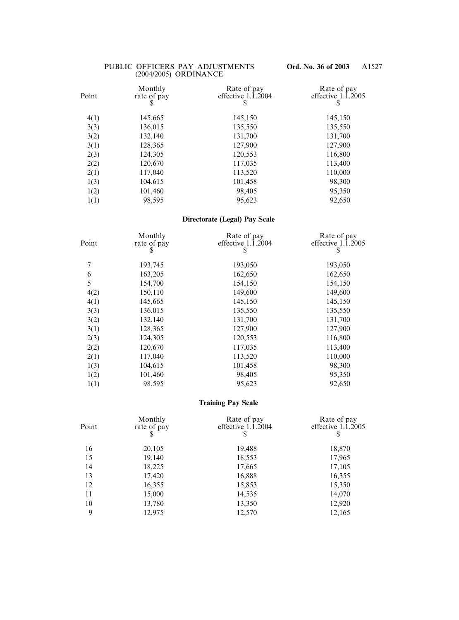| Point | Monthly<br>rate of pay<br>\$ | Rate of pay<br>effective $1.\overline{1}.2004$<br>S | Rate of pay<br>effective $1.\overline{1}.\overline{2}005$<br>\$ |
|-------|------------------------------|-----------------------------------------------------|-----------------------------------------------------------------|
| 4(1)  | 145,665                      | 145,150                                             | 145,150                                                         |
| 3(3)  | 136,015                      | 135,550                                             | 135,550                                                         |
| 3(2)  | 132,140                      | 131,700                                             | 131,700                                                         |
| 3(1)  | 128,365                      | 127,900                                             | 127,900                                                         |
| 2(3)  | 124,305                      | 120,553                                             | 116,800                                                         |
| 2(2)  | 120,670                      | 117,035                                             | 113,400                                                         |
| 2(1)  | 117,040                      | 113,520                                             | 110,000                                                         |
| 1(3)  | 104,615                      | 101,458                                             | 98,300                                                          |
| 1(2)  | 101,460                      | 98,405                                              | 95,350                                                          |
| 1(1)  | 98,595                       | 95,623                                              | 92,650                                                          |

# **Directorate (Legal) Pay Scale**

| Point | Monthly<br>rate of pay<br>S | Rate of pay<br>effective 1.1.2004<br>S | Rate of pay<br>effective $1.\overline{1}.\overline{2}005$<br>\$ |
|-------|-----------------------------|----------------------------------------|-----------------------------------------------------------------|
| 7     | 193,745                     | 193,050                                | 193,050                                                         |
| 6     | 163,205                     | 162,650                                | 162,650                                                         |
| 5     | 154,700                     | 154,150                                | 154,150                                                         |
| 4(2)  | 150,110                     | 149,600                                | 149,600                                                         |
| 4(1)  | 145,665                     | 145,150                                | 145,150                                                         |
| 3(3)  | 136,015                     | 135,550                                | 135,550                                                         |
| 3(2)  | 132,140                     | 131,700                                | 131,700                                                         |
| 3(1)  | 128,365                     | 127,900                                | 127,900                                                         |
| 2(3)  | 124,305                     | 120,553                                | 116,800                                                         |
| 2(2)  | 120,670                     | 117,035                                | 113,400                                                         |
| 2(1)  | 117,040                     | 113,520                                | 110,000                                                         |
| 1(3)  | 104,615                     | 101,458                                | 98,300                                                          |
| 1(2)  | 101,460                     | 98,405                                 | 95,350                                                          |
| 1(1)  | 98,595                      | 95,623                                 | 92,650                                                          |

### **Training Pay Scale**

| Point | Monthly<br>rate of pay<br>\$ | Rate of pay<br>effective $1.\overline{1}.\overline{2}004$<br>S | Rate of pay<br>effective $1.\overline{1}.\overline{2}005$<br>S |
|-------|------------------------------|----------------------------------------------------------------|----------------------------------------------------------------|
| 16    | 20,105                       | 19,488                                                         | 18,870                                                         |
| 15    | 19,140                       | 18,553                                                         | 17,965                                                         |
| 14    | 18,225                       | 17,665                                                         | 17,105                                                         |
| 13    | 17,420                       | 16,888                                                         | 16,355                                                         |
| 12    | 16,355                       | 15,853                                                         | 15,350                                                         |
| 11    | 15,000                       | 14,535                                                         | 14,070                                                         |
| 10    | 13,780                       | 13,350                                                         | 12,920                                                         |
| 9     | 12,975                       | 12,570                                                         | 12,165                                                         |
|       |                              |                                                                |                                                                |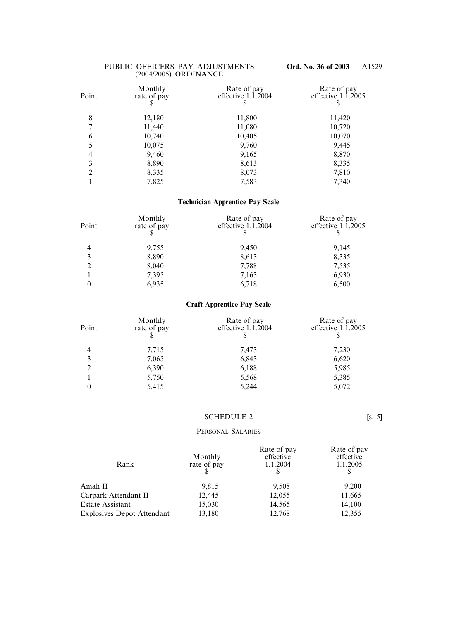| Point          | Monthly<br>rate of pay | Rate of pay<br>effective $1.\overline{1}.\overline{2}004$ | Rate of pay<br>effective $1.\overline{1}.\overline{2}005$<br>Y |
|----------------|------------------------|-----------------------------------------------------------|----------------------------------------------------------------|
| 8              | 12,180                 | 11,800                                                    | 11,420                                                         |
| $\tau$         | 11,440                 | 11,080                                                    | 10,720                                                         |
| 6              | 10,740                 | 10,405                                                    | 10,070                                                         |
| 5              | 10,075                 | 9,760                                                     | 9,445                                                          |
| 4              | 9,460                  | 9,165                                                     | 8,870                                                          |
| 3              | 8,890                  | 8,613                                                     | 8,335                                                          |
| $\overline{2}$ | 8,335                  | 8,073                                                     | 7,810                                                          |
|                | 7,825                  | 7,583                                                     | 7,340                                                          |

## **Technician Apprentice Pay Scale**

| Monthly<br>rate of pay | Rate of pay<br>effective $1.\overline{1}.\overline{2}004$ | Rate of pay<br>effective $1.\overline{1}.\overline{2}005$ |
|------------------------|-----------------------------------------------------------|-----------------------------------------------------------|
| 9,755                  | 9,450                                                     | 9,145                                                     |
| 8,890                  | 8,613                                                     | 8,335                                                     |
| 8,040                  | 7,788                                                     | 7,535                                                     |
| 7,395                  | 7,163                                                     | 6,930                                                     |
| 6,935                  | 6,718                                                     | 6,500                                                     |
|                        |                                                           |                                                           |

# **Craft Apprentice Pay Scale**

| Rate of pay<br>effective $1.\overline{1}.\overline{2}005$ |
|-----------------------------------------------------------|
| 7,230                                                     |
| 6,620                                                     |
| 5,985                                                     |
| 5,385                                                     |
| 5,072                                                     |
|                                                           |

### SCHEDULE 2 [s. 5]

——————————

#### PERSONAL SALARIES

| Rank                              | Monthly<br>rate of pay | Rate of pay<br>effective<br>1.1.2004 | Rate of pay<br>effective<br>1.1.2005 |
|-----------------------------------|------------------------|--------------------------------------|--------------------------------------|
| Amah II                           | 9,815                  | 9,508                                | 9,200                                |
| Carpark Attendant II              | 12,445                 | 12,055                               | 11,665                               |
| <b>Estate Assistant</b>           | 15,030                 | 14,565                               | 14,100                               |
| <b>Explosives Depot Attendant</b> | 13,180                 | 12,768                               | 12,355                               |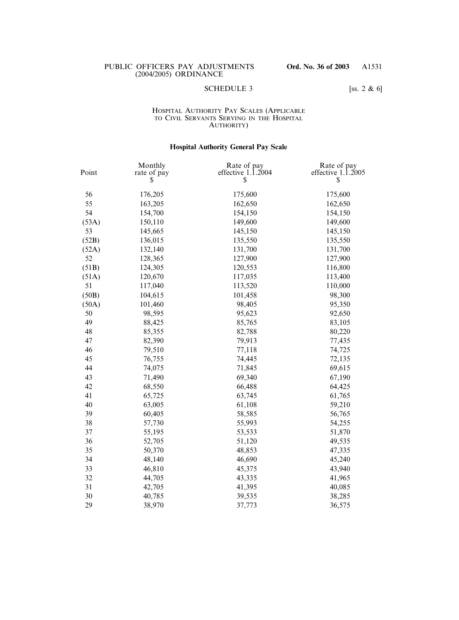### SCHEDULE 3 [ss. 2  $\&$  6]

#### HOSPITAL AUTHORITY PAY SCALES (APPLICABLE TO CIVIL SERVANTS SERVING IN THE HOSPITAL AUTHORITY)

## **Hospital Authority General Pay Scale**

| Point | Monthly<br>rate of pay | Rate of pay<br>effective $1.\overline{1}.\overline{2}004$ | Rate of pay<br>effective $1.\overline{1}.2005$ |
|-------|------------------------|-----------------------------------------------------------|------------------------------------------------|
|       | S                      | \$                                                        | \$                                             |
| 56    | 176,205                | 175,600                                                   | 175,600                                        |
| 55    | 163,205                | 162,650                                                   | 162,650                                        |
| 54    | 154,700                | 154,150                                                   | 154,150                                        |
| (53A) | 150,110                | 149,600                                                   | 149,600                                        |
| 53    | 145,665                | 145,150                                                   | 145,150                                        |
| (52B) | 136,015                | 135,550                                                   | 135,550                                        |
| (52A) | 132,140                | 131,700                                                   | 131,700                                        |
| 52    | 128,365                | 127,900                                                   | 127,900                                        |
| (51B) | 124,305                | 120,553                                                   | 116,800                                        |
| (51A) | 120,670                | 117,035                                                   | 113,400                                        |
| 51    | 117,040                | 113,520                                                   | 110,000                                        |
| (50B) | 104,615                | 101,458                                                   | 98,300                                         |
| (50A) | 101,460                | 98,405                                                    | 95,350                                         |
| 50    | 98,595                 | 95,623                                                    | 92,650                                         |
| 49    | 88,425                 | 85,765                                                    | 83,105                                         |
| 48    | 85,355                 | 82,788                                                    | 80,220                                         |
| 47    | 82,390                 | 79,913                                                    | 77,435                                         |
| 46    | 79,510                 | 77,118                                                    | 74,725                                         |
| 45    | 76,755                 | 74,445                                                    | 72,135                                         |
| 44    | 74,075                 | 71,845                                                    | 69,615                                         |
| 43    | 71,490                 | 69,340                                                    | 67,190                                         |
| 42    | 68,550                 | 66,488                                                    | 64,425                                         |
| 41    | 65,725                 | 63,745                                                    | 61,765                                         |
| 40    | 63,005                 | 61,108                                                    | 59,210                                         |
| 39    | 60,405                 | 58,585                                                    | 56,765                                         |
| 38    | 57,730                 | 55,993                                                    | 54,255                                         |
| 37    | 55,195                 | 53,533                                                    | 51,870                                         |
| 36    | 52,705                 | 51,120                                                    | 49,535                                         |
| 35    | 50,370                 | 48,853                                                    | 47,335                                         |
| 34    | 48,140                 | 46,690                                                    | 45,240                                         |
| 33    | 46,810                 | 45,375                                                    | 43,940                                         |
| 32    | 44,705                 | 43,335                                                    | 41,965                                         |
| 31    | 42,705                 | 41,395                                                    | 40,085                                         |
| 30    | 40,785                 | 39,535                                                    | 38,285                                         |
| 29    | 38,970                 | 37,773                                                    | 36,575                                         |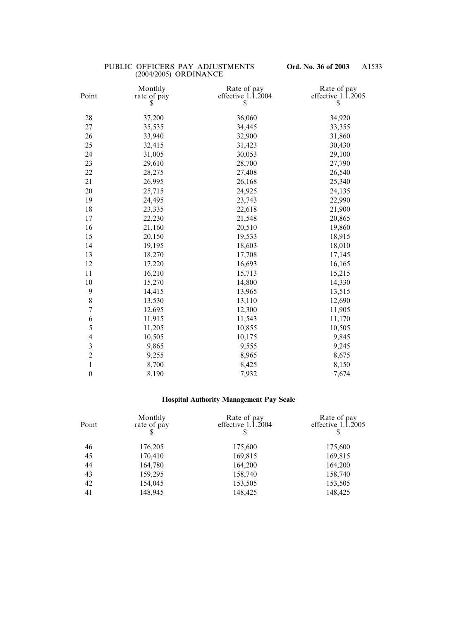| Monthly | Rate of pay | Rate of pay                                |
|---------|-------------|--------------------------------------------|
| S       | \$          | effective $1.\overline{1}.2005$<br>\$      |
| 37,200  | 36,060      | 34,920                                     |
| 35,535  | 34,445      | 33,355                                     |
| 33,940  | 32,900      | 31,860                                     |
| 32,415  | 31,423      | 30,430                                     |
| 31,005  | 30,053      | 29,100                                     |
| 29,610  | 28,700      | 27,790                                     |
| 28,275  | 27,408      | 26,540                                     |
| 26,995  | 26,168      | 25,340                                     |
| 25,715  | 24,925      | 24,135                                     |
| 24,495  | 23,743      | 22,990                                     |
| 23,335  | 22,618      | 21,900                                     |
| 22,230  | 21,548      | 20,865                                     |
| 21,160  | 20,510      | 19,860                                     |
| 20,150  | 19,533      | 18,915                                     |
| 19,195  | 18,603      | 18,010                                     |
| 18,270  | 17,708      | 17,145                                     |
| 17,220  | 16,693      | 16,165                                     |
| 16,210  | 15,713      | 15,215                                     |
| 15,270  | 14,800      | 14,330                                     |
| 14,415  | 13,965      | 13,515                                     |
| 13,530  | 13,110      | 12,690                                     |
| 12,695  | 12,300      | 11,905                                     |
| 11,915  | 11,543      | 11,170                                     |
| 11,205  | 10,855      | 10,505                                     |
| 10,505  | 10,175      | 9,845                                      |
| 9,865   | 9,555       | 9,245                                      |
| 9,255   | 8,965       | 8,675                                      |
| 8,700   | 8,425       | 8,150                                      |
| 8,190   | 7,932       | 7,674                                      |
|         | rate of pay | effective $1.\overline{1}.\overline{2}004$ |

# **Hospital Authority Management Pay Scale**

| Point | Monthly<br>rate of pay | Rate of pay<br>effective $1.\overline{1}.\overline{2}004$ | Rate of pay<br>effective $1.\overline{1}.\overline{2}005$ |
|-------|------------------------|-----------------------------------------------------------|-----------------------------------------------------------|
| 46    | 176,205                | 175,600                                                   | 175,600                                                   |
| 45    | 170,410                | 169,815                                                   | 169,815                                                   |
| 44    | 164,780                | 164,200                                                   | 164,200                                                   |
| 43    | 159,295                | 158,740                                                   | 158,740                                                   |
| 42    | 154,045                | 153,505                                                   | 153,505                                                   |
| 41    | 148,945                | 148,425                                                   | 148,425                                                   |
|       |                        |                                                           |                                                           |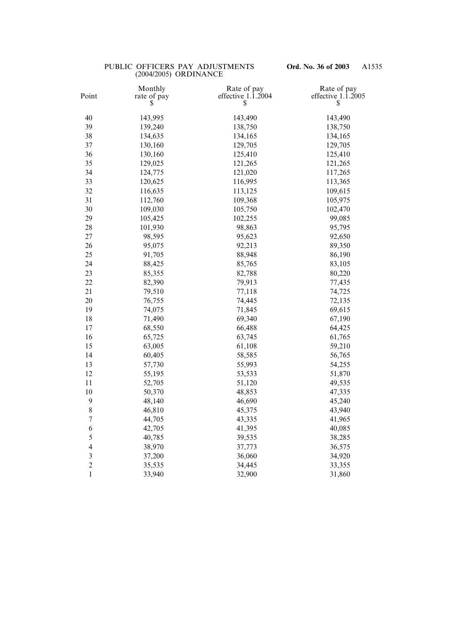| Point          | Monthly<br>rate of pay<br>S | Rate of pay<br>effective $1.\overline{1}.2004$<br>\$ | Rate of pay<br>effective $1.\overline{1}.2005$<br>\$ |
|----------------|-----------------------------|------------------------------------------------------|------------------------------------------------------|
| 40             | 143,995                     | 143,490                                              | 143,490                                              |
| 39             | 139,240                     | 138,750                                              | 138,750                                              |
| 38             | 134,635                     | 134,165                                              | 134,165                                              |
| 37             | 130,160                     | 129,705                                              | 129,705                                              |
| 36             | 130,160                     | 125,410                                              | 125,410                                              |
| 35             | 129,025                     | 121,265                                              | 121,265                                              |
| 34             | 124,775                     | 121,020                                              | 117,265                                              |
| 33             | 120,625                     | 116,995                                              | 113,365                                              |
| 32             | 116,635                     | 113,125                                              | 109,615                                              |
| 31             | 112,760                     | 109,368                                              | 105,975                                              |
| 30             | 109,030                     | 105,750                                              | 102,470                                              |
| 29             | 105,425                     | 102,255                                              | 99,085                                               |
| 28             | 101,930                     | 98,863                                               | 95,795                                               |
| 27             | 98,595                      | 95,623                                               | 92,650                                               |
| 26             | 95,075                      | 92,213                                               | 89,350                                               |
| 25             | 91,705                      | 88,948                                               | 86,190                                               |
| 24             | 88,425                      | 85,765                                               | 83,105                                               |
| 23             | 85,355                      | 82,788                                               | 80,220                                               |
| 22             | 82,390                      | 79,913                                               | 77,435                                               |
| 21             | 79,510                      | 77,118                                               | 74,725                                               |
| 20             | 76,755                      | 74,445                                               | 72,135                                               |
| 19             | 74,075                      | 71,845                                               | 69,615                                               |
| 18             | 71,490                      | 69,340                                               | 67,190                                               |
| 17             | 68,550                      | 66,488                                               | 64,425                                               |
| 16             | 65,725                      | 63,745                                               | 61,765                                               |
| 15             | 63,005                      | 61,108                                               | 59,210                                               |
| 14             | 60,405                      | 58,585                                               | 56,765                                               |
| 13             | 57,730                      | 55,993                                               | 54,255                                               |
| 12             | 55,195                      | 53,533                                               | 51,870                                               |
| 11             | 52,705                      | 51,120                                               | 49,535                                               |
| 10             | 50,370                      | 48,853                                               | 47,335                                               |
| 9              | 48,140                      | 46,690                                               | 45,240                                               |
| $\,$ $\,$      | 46,810                      | 45,375                                               | 43,940                                               |
| $\sqrt{ }$     | 44,705                      | 43,335                                               | 41,965                                               |
| 6              | 42,705                      | 41,395                                               | 40,085                                               |
| 5              | 40,785                      | 39,535                                               | 38,285                                               |
| $\overline{4}$ | 38,970                      | 37,773                                               | 36,575                                               |
| $\mathfrak{Z}$ | 37,200                      | 36,060                                               | 34,920                                               |
| $\overline{c}$ | 35,535                      | 34,445                                               | 33,355                                               |
| $\mathbf 1$    | 33,940                      | 32,900                                               | 31,860                                               |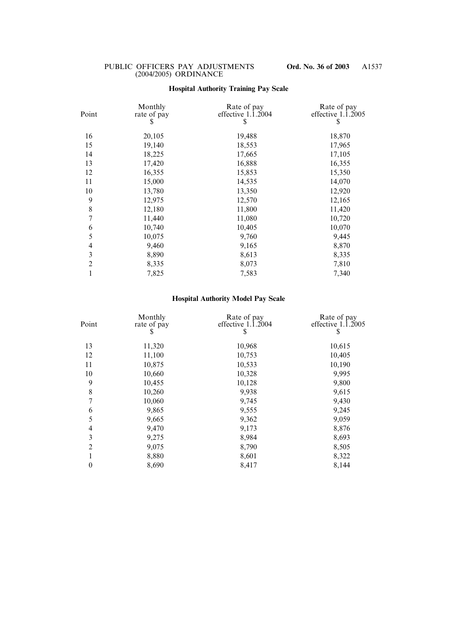## **Hospital Authority Training Pay Scale**

| Point          | Monthly<br>rate of pay<br>\$ | Rate of pay<br>effective $1.\overline{1}.2004$<br>\$ | Rate of pay<br>effective $1.\overline{1}.2005$<br>\$ |
|----------------|------------------------------|------------------------------------------------------|------------------------------------------------------|
| 16             | 20,105                       | 19,488                                               | 18,870                                               |
| 15             | 19,140                       | 18,553                                               | 17,965                                               |
| 14             | 18,225                       | 17,665                                               | 17,105                                               |
| 13             | 17,420                       | 16,888                                               | 16,355                                               |
| 12             | 16,355                       | 15,853                                               | 15,350                                               |
| 11             | 15,000                       | 14,535                                               | 14,070                                               |
| 10             | 13,780                       | 13,350                                               | 12,920                                               |
| 9              | 12,975                       | 12,570                                               | 12,165                                               |
| 8              | 12,180                       | 11,800                                               | 11,420                                               |
| $\overline{7}$ | 11,440                       | 11,080                                               | 10,720                                               |
| 6              | 10,740                       | 10,405                                               | 10,070                                               |
| 5              | 10,075                       | 9,760                                                | 9,445                                                |
| 4              | 9,460                        | 9,165                                                | 8,870                                                |
| 3              | 8,890                        | 8,613                                                | 8,335                                                |
| $\overline{2}$ | 8,335                        | 8,073                                                | 7,810                                                |
| 1              | 7,825                        | 7,583                                                | 7,340                                                |
|                |                              |                                                      |                                                      |

# **Hospital Authority Model Pay Scale**

| Point            | Monthly<br>rate of pay<br>\$ | Rate of pay<br>effective 1.1.2004<br>S | Rate of pay<br>effective 1.1.2005<br>S |
|------------------|------------------------------|----------------------------------------|----------------------------------------|
| 13               | 11,320                       | 10,968                                 | 10,615                                 |
| 12               | 11,100                       | 10,753                                 | 10,405                                 |
| 11               | 10,875                       | 10,533                                 | 10,190                                 |
| 10               | 10,660                       | 10,328                                 | 9,995                                  |
| 9                | 10,455                       | 10,128                                 | 9,800                                  |
| 8                | 10,260                       | 9,938                                  | 9,615                                  |
| 7                | 10,060                       | 9,745                                  | 9,430                                  |
| 6                | 9,865                        | 9,555                                  | 9,245                                  |
| 5                | 9,665                        | 9,362                                  | 9,059                                  |
| $\overline{4}$   | 9,470                        | 9,173                                  | 8,876                                  |
| 3                | 9,275                        | 8,984                                  | 8,693                                  |
| $\overline{2}$   | 9,075                        | 8,790                                  | 8,505                                  |
|                  | 8,880                        | 8,601                                  | 8,322                                  |
| $\boldsymbol{0}$ | 8,690                        | 8,417                                  | 8,144                                  |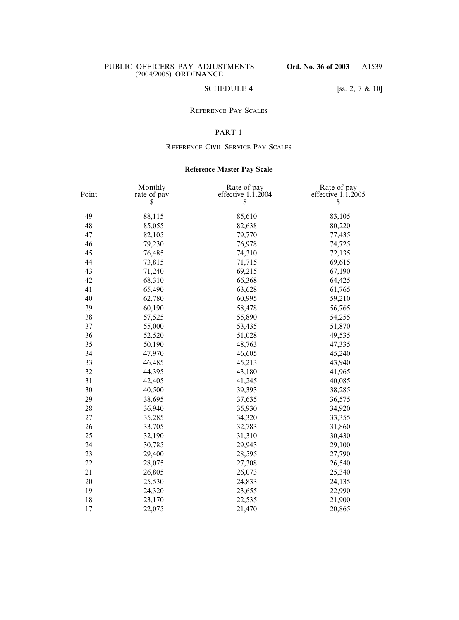## SCHEDULE 4 [ss. 2, 7 & 10]

### REFERENCE PAY SCALES

## PART 1

### REFERENCE CIVIL SERVICE PAY SCALES

## **Reference Master Pay Scale**

| Point | Monthly<br>rate of pay | Rate of pay<br>effective $1.\overline{1}.2004$ | Rate of pay<br>effective $1.\overline{1}.2005$ |
|-------|------------------------|------------------------------------------------|------------------------------------------------|
|       | \$                     | \$                                             | \$                                             |
| 49    | 88,115                 | 85,610                                         | 83,105                                         |
| 48    | 85,055                 | 82,638                                         | 80,220                                         |
| 47    | 82,105                 | 79,770                                         | 77,435                                         |
| 46    | 79,230                 | 76,978                                         | 74,725                                         |
| 45    | 76,485                 | 74,310                                         | 72,135                                         |
| 44    | 73,815                 | 71,715                                         | 69,615                                         |
| 43    | 71,240                 | 69,215                                         | 67,190                                         |
| 42    | 68,310                 | 66,368                                         | 64,425                                         |
| 41    | 65,490                 | 63,628                                         | 61,765                                         |
| 40    | 62,780                 | 60,995                                         | 59,210                                         |
| 39    | 60,190                 | 58,478                                         | 56,765                                         |
| 38    | 57,525                 | 55,890                                         | 54,255                                         |
| 37    | 55,000                 | 53,435                                         | 51,870                                         |
| 36    | 52,520                 | 51,028                                         | 49,535                                         |
| 35    | 50,190                 | 48,763                                         | 47,335                                         |
| 34    | 47,970                 | 46,605                                         | 45,240                                         |
| 33    | 46,485                 | 45,213                                         | 43,940                                         |
| 32    | 44,395                 | 43,180                                         | 41,965                                         |
| 31    | 42,405                 | 41,245                                         | 40,085                                         |
| 30    | 40,500                 | 39,393                                         | 38,285                                         |
| 29    | 38,695                 | 37,635                                         | 36,575                                         |
| 28    | 36,940                 | 35,930                                         | 34,920                                         |
| 27    | 35,285                 | 34,320                                         | 33,355                                         |
| 26    | 33,705                 | 32,783                                         | 31,860                                         |
| 25    | 32,190                 | 31,310                                         | 30,430                                         |
| 24    | 30,785                 | 29,943                                         | 29,100                                         |
| 23    | 29,400                 | 28,595                                         | 27,790                                         |
| 22    | 28,075                 | 27,308                                         | 26,540                                         |
| 21    | 26,805                 | 26,073                                         | 25,340                                         |
| 20    | 25,530                 | 24,833                                         | 24,135                                         |
| 19    | 24,320                 | 23,655                                         | 22,990                                         |
| 18    | 23,170                 | 22,535                                         | 21,900                                         |
| 17    | 22,075                 | 21,470                                         | 20,865                                         |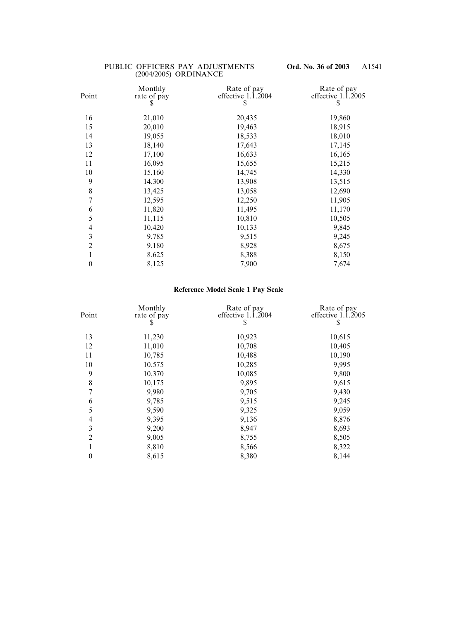| Point            | Monthly<br>rate of pay | Rate of pay<br>effective $1.\overline{1}.2004$ | Rate of pay<br>effective $1.\overline{1}.2005$ |
|------------------|------------------------|------------------------------------------------|------------------------------------------------|
|                  | S                      | \$                                             | \$                                             |
| 16               | 21,010                 | 20,435                                         | 19,860                                         |
| 15               | 20,010                 | 19,463                                         | 18,915                                         |
| 14               | 19,055                 | 18,533                                         | 18,010                                         |
| 13               | 18,140                 | 17,643                                         | 17,145                                         |
| 12               | 17,100                 | 16,633                                         | 16,165                                         |
| 11               | 16,095                 | 15,655                                         | 15,215                                         |
| 10               | 15,160                 | 14,745                                         | 14,330                                         |
| 9                | 14,300                 | 13,908                                         | 13,515                                         |
| 8                | 13,425                 | 13,058                                         | 12,690                                         |
| $\overline{7}$   | 12,595                 | 12,250                                         | 11,905                                         |
| 6                | 11,820                 | 11,495                                         | 11,170                                         |
| 5                | 11,115                 | 10,810                                         | 10,505                                         |
| $\overline{4}$   | 10,420                 | 10,133                                         | 9,845                                          |
| 3                | 9,785                  | 9,515                                          | 9,245                                          |
| $\overline{2}$   | 9,180                  | 8,928                                          | 8,675                                          |
| 1                | 8,625                  | 8,388                                          | 8,150                                          |
| $\boldsymbol{0}$ | 8,125                  | 7,900                                          | 7,674                                          |
|                  |                        |                                                |                                                |

# **Reference Model Scale 1 Pay Scale**

| Point            | Monthly<br>rate of pay<br>\$ | Rate of pay<br>effective $1.\overline{1}.\overline{2}004$<br>\$ | Rate of pay<br>effective 1.1.2005<br>\$ |
|------------------|------------------------------|-----------------------------------------------------------------|-----------------------------------------|
| 13               | 11,230                       | 10,923                                                          | 10,615                                  |
| 12               | 11,010                       | 10,708                                                          | 10,405                                  |
| 11               | 10,785                       | 10,488                                                          | 10,190                                  |
| 10               | 10,575                       | 10,285                                                          | 9,995                                   |
| 9                | 10,370                       | 10,085                                                          | 9,800                                   |
| 8                | 10,175                       | 9,895                                                           | 9,615                                   |
| 7                | 9,980                        | 9,705                                                           | 9,430                                   |
| 6                | 9,785                        | 9,515                                                           | 9,245                                   |
| 5                | 9,590                        | 9,325                                                           | 9,059                                   |
| 4                | 9,395                        | 9,136                                                           | 8,876                                   |
| 3                | 9,200                        | 8,947                                                           | 8,693                                   |
| $\overline{2}$   | 9,005                        | 8,755                                                           | 8,505                                   |
|                  | 8,810                        | 8,566                                                           | 8,322                                   |
| $\boldsymbol{0}$ | 8,615                        | 8,380                                                           | 8,144                                   |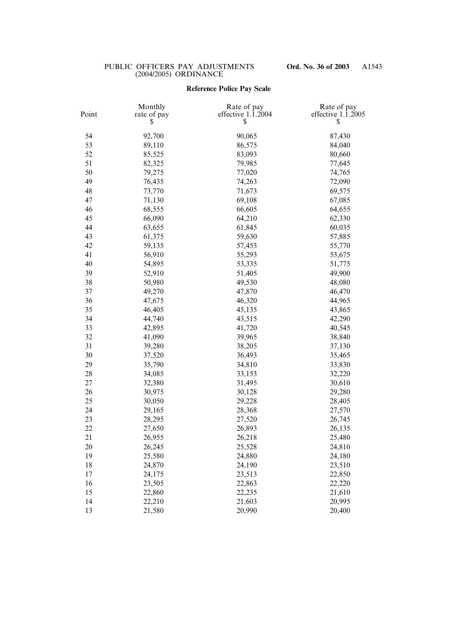# **Reference Police Pay Scale**

| Point | Monthly<br>rate of pay<br>Ֆ | Rate of pay<br>effective $1.\overline{1}.\overline{2}004$<br>\$ | Rate of pay<br>effective $1.\overline{1}.\overline{2}005$<br>\$ |
|-------|-----------------------------|-----------------------------------------------------------------|-----------------------------------------------------------------|
| 54    | 92,700                      | 90,065                                                          | 87,430                                                          |
| 53    | 89,110                      | 86,575                                                          | 84,040                                                          |
| 52    | 85,525                      | 83,093                                                          | 80,660                                                          |
| 51    | 82,325                      | 79,985                                                          | 77,645                                                          |
| 50    | 79,275                      | 77,020                                                          | 74,765                                                          |
| 49    | 76,435                      | 74,263                                                          | 72,090                                                          |
| 48    | 73,770                      | 71,673                                                          | 69,575                                                          |
| 47    | 71,130                      | 69,108                                                          | 67,085                                                          |
| 46    | 68,555                      | 66,605                                                          | 64,655                                                          |
| 45    | 66,090                      | 64,210                                                          | 62,330                                                          |
| 44    | 63,655                      | 61,845                                                          | 60,035                                                          |
| 43    | 61,375                      | 59,630                                                          | 57,885                                                          |
| 42    | 59,135                      | 57,453                                                          | 55,770                                                          |
| 41    | 56,910                      | 55,293                                                          | 53,675                                                          |
| 40    | 54,895                      | 53,335                                                          | 51,775                                                          |
| 39    | 52,910                      | 51,405                                                          | 49,900                                                          |
| 38    | 50,980                      | 49,530                                                          | 48,080                                                          |
| 37    | 49,270                      | 47,870                                                          | 46,470                                                          |
| 36    | 47,675                      | 46,320                                                          | 44,965                                                          |
| 35    | 46,405                      | 45,135                                                          | 43,865                                                          |
| 34    | 44,740                      | 43,515                                                          | 42,290                                                          |
| 33    | 42,895                      | 41,720                                                          | 40,545                                                          |
| 32    | 41,090                      | 39,965                                                          | 38,840                                                          |
| 31    | 39,280                      | 38,205                                                          | 37,130                                                          |
| 30    | 37,520                      | 36,493                                                          | 35,465                                                          |
| 29    | 35,790                      | 34,810                                                          | 33,830                                                          |
| 28    | 34,085                      | 33,153                                                          | 32,220                                                          |
| 27    | 32,380                      | 31,495                                                          | 30,610                                                          |
| 26    | 30,975                      | 30,128                                                          | 29,280                                                          |
| 25    | 30,050                      | 29,228                                                          | 28,405                                                          |
| 24    | 29,165                      | 28,368                                                          | 27,570                                                          |
| 23    | 28,295                      | 27,520                                                          | 26,745                                                          |
| 22    | 27,650                      | 26,893                                                          | 26,135                                                          |
| 21    | 26,955                      | 26,218                                                          | 25,480                                                          |
| 20    | 26,245                      | 25,528                                                          | 24,810                                                          |
| 19    | 25,580                      | 24,880                                                          | 24,180                                                          |
| 18    | 24,870                      | 24,190                                                          | 23,510                                                          |
| 17    | 24,175                      | 23,513                                                          | 22,850                                                          |
| 16    | 23,505                      | 22,863                                                          | 22,220                                                          |
| 15    | 22,860                      | 22,235                                                          | 21,610                                                          |
| 14    | 22,210                      | 21,603                                                          | 20,995                                                          |
| 13    | 21,580                      | 20,990                                                          | 20,400                                                          |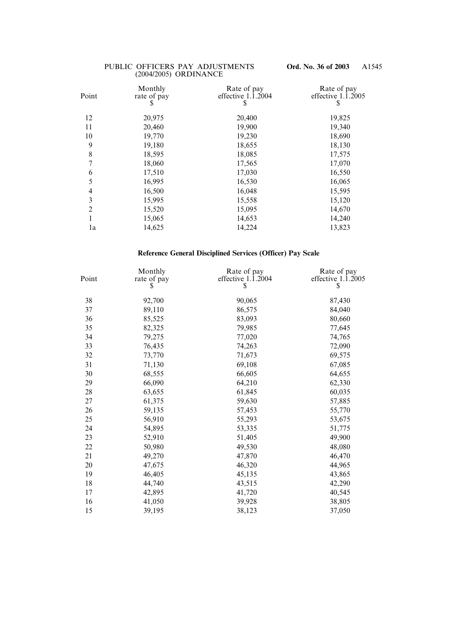| Point          | Monthly<br>rate of pay | Rate of pay<br>effective $1.\overline{1}.\overline{2}004$ | Rate of pay<br>effective $1.\overline{1}.\overline{2}005$ |
|----------------|------------------------|-----------------------------------------------------------|-----------------------------------------------------------|
|                | \$                     | Y                                                         | \$                                                        |
| 12             | 20,975                 | 20,400                                                    | 19,825                                                    |
| 11             | 20,460                 | 19,900                                                    | 19,340                                                    |
| 10             | 19,770                 | 19,230                                                    | 18,690                                                    |
| 9              | 19,180                 | 18,655                                                    | 18,130                                                    |
| $\,$ $\,$      | 18,595                 | 18,085                                                    | 17,575                                                    |
| 7              | 18,060                 | 17,565                                                    | 17,070                                                    |
| 6              | 17,510                 | 17,030                                                    | 16,550                                                    |
| 5              | 16,995                 | 16,530                                                    | 16,065                                                    |
| $\overline{4}$ | 16,500                 | 16,048                                                    | 15,595                                                    |
| 3              | 15,995                 | 15,558                                                    | 15,120                                                    |
| $\overline{2}$ | 15,520                 | 15,095                                                    | 14,670                                                    |
| 1              | 15,065                 | 14,653                                                    | 14,240                                                    |
| 1a             | 14,625                 | 14,224                                                    | 13,823                                                    |

# **Reference General Disciplined Services (Officer) Pay Scale**

| Point | Monthly<br>rate of pay | Rate of pay<br>effective $1.\overline{1}.2004$ | Rate of pay<br>effective $1.\overline{1}.2005$ |
|-------|------------------------|------------------------------------------------|------------------------------------------------|
|       | \$                     | \$                                             | \$                                             |
| 38    | 92,700                 | 90,065                                         | 87,430                                         |
| 37    | 89,110                 | 86,575                                         | 84,040                                         |
| 36    | 85,525                 | 83,093                                         | 80,660                                         |
| 35    | 82,325                 | 79,985                                         | 77,645                                         |
| 34    | 79,275                 | 77,020                                         | 74,765                                         |
| 33    | 76,435                 | 74,263                                         | 72,090                                         |
| 32    | 73,770                 | 71,673                                         | 69,575                                         |
| 31    | 71,130                 | 69,108                                         | 67,085                                         |
| 30    | 68,555                 | 66,605                                         | 64,655                                         |
| 29    | 66,090                 | 64,210                                         | 62,330                                         |
| 28    | 63,655                 | 61,845                                         | 60,035                                         |
| 27    | 61,375                 | 59,630                                         | 57,885                                         |
| 26    | 59,135                 | 57,453                                         | 55,770                                         |
| 25    | 56,910                 | 55,293                                         | 53,675                                         |
| 24    | 54,895                 | 53,335                                         | 51,775                                         |
| 23    | 52,910                 | 51,405                                         | 49,900                                         |
| 22    | 50,980                 | 49,530                                         | 48,080                                         |
| 21    | 49,270                 | 47,870                                         | 46,470                                         |
| 20    | 47,675                 | 46,320                                         | 44,965                                         |
| 19    | 46,405                 | 45,135                                         | 43,865                                         |
| 18    | 44,740                 | 43,515                                         | 42,290                                         |
| 17    | 42,895                 | 41,720                                         | 40,545                                         |
| 16    | 41,050                 | 39,928                                         | 38,805                                         |
| 15    | 39,195                 | 38,123                                         | 37,050                                         |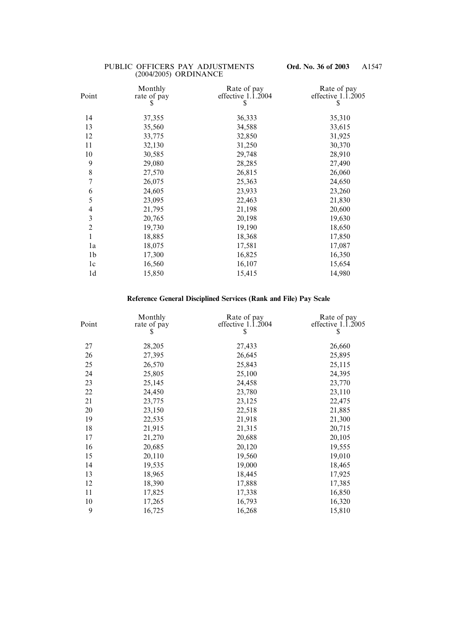| Point          | Monthly<br>rate of pay<br>S | Rate of pay<br>effective $1.\overline{1}.2004$<br>S | Rate of pay<br>effective $1.\overline{1}.\overline{2}005$<br>S |
|----------------|-----------------------------|-----------------------------------------------------|----------------------------------------------------------------|
| 14             | 37,355                      | 36,333                                              | 35,310                                                         |
| 13             | 35,560                      | 34,588                                              | 33,615                                                         |
| 12             | 33,775                      | 32,850                                              | 31,925                                                         |
| 11             | 32,130                      | 31,250                                              | 30,370                                                         |
| 10             | 30,585                      | 29,748                                              | 28,910                                                         |
| 9              | 29,080                      | 28,285                                              | 27,490                                                         |
| 8              | 27,570                      | 26,815                                              | 26,060                                                         |
| 7              | 26,075                      | 25,363                                              | 24,650                                                         |
| 6              | 24,605                      | 23,933                                              | 23,260                                                         |
| 5              | 23,095                      | 22,463                                              | 21,830                                                         |
| 4              | 21,795                      | 21,198                                              | 20,600                                                         |
| 3              | 20,765                      | 20,198                                              | 19,630                                                         |
| $\overline{2}$ | 19,730                      | 19,190                                              | 18,650                                                         |
| $\mathbf{1}$   | 18,885                      | 18,368                                              | 17,850                                                         |
| 1a             | 18,075                      | 17,581                                              | 17,087                                                         |
| 1 <sub>b</sub> | 17,300                      | 16,825                                              | 16,350                                                         |
| 1c             | 16,560                      | 16,107                                              | 15,654                                                         |
| 1 <sub>d</sub> | 15,850                      | 15,415                                              | 14,980                                                         |
|                |                             |                                                     |                                                                |

# **Reference General Disciplined Services (Rank and File) Pay Scale**

| Point | Monthly<br>rate of pay<br>\$ | Rate of pay<br>effective $1.\overline{1}.\overline{2}004$<br>\$ | Rate of pay<br>effective $1.\overline{1}.\overline{2}005$<br>\$ |
|-------|------------------------------|-----------------------------------------------------------------|-----------------------------------------------------------------|
| 27    | 28,205                       | 27,433                                                          | 26,660                                                          |
| 26    | 27,395                       | 26,645                                                          | 25,895                                                          |
| 25    | 26,570                       | 25,843                                                          | 25,115                                                          |
| 24    | 25,805                       | 25,100                                                          | 24,395                                                          |
| 23    | 25,145                       | 24,458                                                          | 23,770                                                          |
| 22    | 24,450                       | 23,780                                                          | 23,110                                                          |
| 21    | 23,775                       | 23,125                                                          | 22,475                                                          |
| 20    | 23,150                       | 22,518                                                          | 21,885                                                          |
| 19    | 22,535                       | 21,918                                                          | 21,300                                                          |
| 18    | 21,915                       | 21,315                                                          | 20,715                                                          |
| 17    | 21,270                       | 20,688                                                          | 20,105                                                          |
| 16    | 20,685                       | 20,120                                                          | 19,555                                                          |
| 15    | 20,110                       | 19,560                                                          | 19,010                                                          |
| 14    | 19,535                       | 19,000                                                          | 18,465                                                          |
| 13    | 18,965                       | 18,445                                                          | 17,925                                                          |
| 12    | 18,390                       | 17,888                                                          | 17,385                                                          |
| 11    | 17,825                       | 17,338                                                          | 16,850                                                          |
| 10    | 17,265                       | 16,793                                                          | 16,320                                                          |
| 9     | 16,725                       | 16,268                                                          | 15,810                                                          |
|       |                              |                                                                 |                                                                 |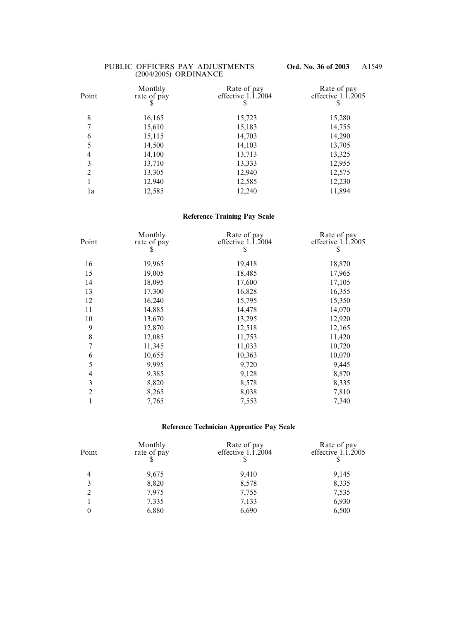| Point          | Monthly<br>rate of pay<br>\$ | Rate of pay<br>effective $1.\overline{1}.\overline{2}004$ | Rate of pay<br>effective $1.\overline{1}.\overline{2}005$<br>\$ |
|----------------|------------------------------|-----------------------------------------------------------|-----------------------------------------------------------------|
| 8              | 16,165                       | 15,723                                                    | 15,280                                                          |
| 7              | 15,610                       | 15,183                                                    | 14,755                                                          |
| 6              | 15,115                       | 14,703                                                    | 14,290                                                          |
| 5              | 14,500                       | 14,103                                                    | 13,705                                                          |
| $\overline{4}$ | 14,100                       | 13,713                                                    | 13,325                                                          |
| 3              | 13,710                       | 13,333                                                    | 12,955                                                          |
| $\overline{2}$ | 13,305                       | 12,940                                                    | 12,575                                                          |
|                | 12,940                       | 12,585                                                    | 12,230                                                          |
| 1a             | 12,585                       | 12,240                                                    | 11,894                                                          |

### **Reference Training Pay Scale**

| Point                    | Monthly<br>rate of pay<br>\$ | Rate of pay<br>effective $1.\overline{1}.2004$<br>\$ | Rate of pay<br>effective 1.1.2005<br>\$ |
|--------------------------|------------------------------|------------------------------------------------------|-----------------------------------------|
| 16                       | 19,965                       | 19,418                                               | 18,870                                  |
| 15                       | 19,005                       | 18,485                                               | 17,965                                  |
| 14                       | 18,095                       | 17,600                                               | 17,105                                  |
| 13                       | 17,300                       | 16,828                                               | 16,355                                  |
| 12                       | 16,240                       | 15,795                                               | 15,350                                  |
| 11                       | 14,885                       | 14,478                                               | 14,070                                  |
| 10                       | 13,670                       | 13,295                                               | 12,920                                  |
| 9                        | 12,870                       | 12,518                                               | 12,165                                  |
| $\,$ $\,$                | 12,085                       | 11,753                                               | 11,420                                  |
| $\overline{7}$           | 11,345                       | 11,033                                               | 10,720                                  |
| 6                        | 10,655                       | 10,363                                               | 10,070                                  |
| 5                        | 9,995                        | 9,720                                                | 9,445                                   |
| $\overline{\mathcal{A}}$ | 9,385                        | 9,128                                                | 8,870                                   |
| 3                        | 8,820                        | 8,578                                                | 8,335                                   |
| $\overline{2}$           | 8,265                        | 8,038                                                | 7,810                                   |
| 1                        | 7,765                        | 7,553                                                | 7,340                                   |
|                          |                              |                                                      |                                         |

# **Reference Technician Apprentice Pay Scale**

| Monthly<br>rate of pay | Rate of pay<br>effective $1.\overline{1}.\overline{2}004$ | Rate of pay<br>effective $1.\overline{1}.\overline{2}005$ |
|------------------------|-----------------------------------------------------------|-----------------------------------------------------------|
| 9,675                  | 9,410                                                     | 9,145                                                     |
| 8,820                  | 8,578                                                     | 8,335                                                     |
| 7,975                  | 7,755                                                     | 7,535                                                     |
| 7,335                  | 7,133                                                     | 6,930                                                     |
| 6,880                  | 6,690                                                     | 6,500                                                     |
|                        |                                                           |                                                           |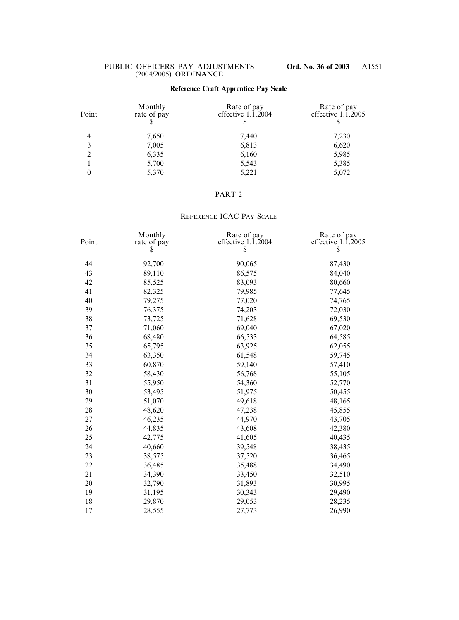## **Reference Craft Apprentice Pay Scale**

| Monthly<br>rate of pay | Rate of pay<br>effective $1.\overline{1}.\overline{2}004$ | Rate of pay<br>effective $1.\overline{1}.\overline{2}005$ |
|------------------------|-----------------------------------------------------------|-----------------------------------------------------------|
| 7,650                  | 7,440                                                     | 7,230                                                     |
| 7,005                  | 6,813                                                     | 6,620                                                     |
| 6,335                  | 6,160                                                     | 5,985                                                     |
| 5,700                  | 5,543                                                     | 5,385                                                     |
| 5,370                  | 5,221                                                     | 5,072                                                     |
|                        |                                                           |                                                           |

### PART 2

## REFERENCE ICAC PAY SCALE

| Point | Monthly<br>rate of pay<br>S | Rate of pay<br>effective 1.1.2004<br>\$ | Rate of pay<br>effective $1.\overline{1}.2005$<br>\$ |
|-------|-----------------------------|-----------------------------------------|------------------------------------------------------|
| 44    | 92,700                      | 90,065                                  | 87,430                                               |
| 43    | 89,110                      | 86,575                                  | 84,040                                               |
| 42    | 85,525                      | 83,093                                  | 80,660                                               |
| 41    | 82,325                      | 79,985                                  | 77,645                                               |
| 40    | 79,275                      | 77,020                                  | 74,765                                               |
| 39    | 76,375                      | 74,203                                  | 72,030                                               |
| 38    | 73,725                      | 71,628                                  | 69,530                                               |
| 37    | 71,060                      | 69,040                                  | 67,020                                               |
| 36    | 68,480                      | 66,533                                  | 64,585                                               |
| 35    | 65,795                      | 63,925                                  | 62,055                                               |
| 34    | 63,350                      | 61,548                                  | 59,745                                               |
| 33    | 60,870                      | 59,140                                  | 57,410                                               |
| 32    | 58,430                      | 56,768                                  | 55,105                                               |
| 31    | 55,950                      | 54,360                                  | 52,770                                               |
| 30    | 53,495                      | 51,975                                  | 50,455                                               |
| 29    | 51,070                      | 49,618                                  | 48,165                                               |
| 28    | 48,620                      | 47,238                                  | 45,855                                               |
| 27    | 46,235                      | 44,970                                  | 43,705                                               |
| 26    | 44,835                      | 43,608                                  | 42,380                                               |
| 25    | 42,775                      | 41,605                                  | 40,435                                               |
| 24    | 40,660                      | 39,548                                  | 38,435                                               |
| 23    | 38,575                      | 37,520                                  | 36,465                                               |
| 22    | 36,485                      | 35,488                                  | 34,490                                               |
| 21    | 34,390                      | 33,450                                  | 32,510                                               |
| 20    | 32,790                      | 31,893                                  | 30,995                                               |
| 19    | 31,195                      | 30,343                                  | 29,490                                               |
| 18    | 29,870                      | 29,053                                  | 28,235                                               |
| 17    | 28,555                      | 27,773                                  | 26,990                                               |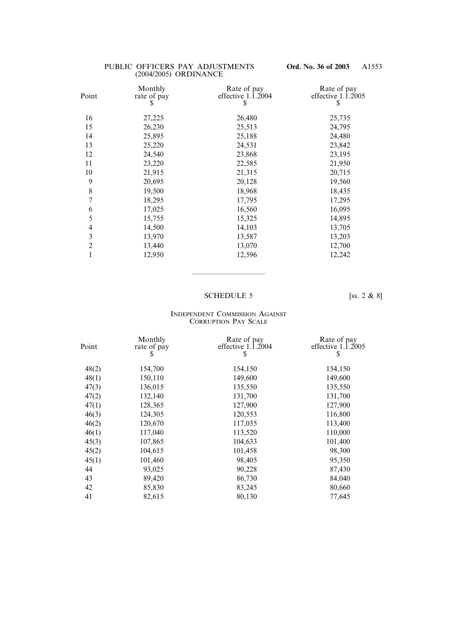| Monthly<br>rate of pay<br>S | Rate of pay<br>effective $1.\overline{1}.\overline{2}004$<br>S | Rate of pay<br>effective $1.\overline{1}.2005$<br>S |
|-----------------------------|----------------------------------------------------------------|-----------------------------------------------------|
| 27,225                      | 26,480                                                         | 25,735                                              |
| 26,230                      | 25,513                                                         | 24,795                                              |
| 25,895                      | 25,188                                                         | 24,480                                              |
| 25,220                      | 24,531                                                         | 23,842                                              |
| 24,540                      | 23,868                                                         | 23,195                                              |
| 23,220                      | 22,585                                                         | 21,950                                              |
| 21,915                      | 21,315                                                         | 20,715                                              |
| 20,695                      | 20,128                                                         | 19,560                                              |
| 19,500                      | 18,968                                                         | 18,435                                              |
| 18,295                      | 17,795                                                         | 17,295                                              |
| 17,025                      | 16,560                                                         | 16,095                                              |
| 15,755                      | 15,325                                                         | 14,895                                              |
| 14,500                      | 14,103                                                         | 13,705                                              |
| 13,970                      | 13,587                                                         | 13,203                                              |
| 13,440                      | 13,070                                                         | 12,700                                              |
| 12,950                      | 12,596                                                         | 12,242                                              |
|                             |                                                                |                                                     |

### SCHEDULE 5 [SS. 2 & 8]

——————————

#### INDEPENDENT COMMISSION AGAINST CORRUPTION PAY SCALE

| Point | Monthly<br>rate of pay<br>\$ | Rate of pay<br>effective $1.\overline{1}.\overline{2}004$<br>S | Rate of pay<br>effective $1.\overline{1}.\overline{2}005$<br>\$ |
|-------|------------------------------|----------------------------------------------------------------|-----------------------------------------------------------------|
|       |                              |                                                                |                                                                 |
| 48(2) | 154,700                      | 154,150                                                        | 154,150                                                         |
| 48(1) | 150,110                      | 149,600                                                        | 149,600                                                         |
| 47(3) | 136,015                      | 135,550                                                        | 135,550                                                         |
| 47(2) | 132,140                      | 131,700                                                        | 131,700                                                         |
| 47(1) | 128,365                      | 127,900                                                        | 127,900                                                         |
| 46(3) | 124,305                      | 120,553                                                        | 116,800                                                         |
| 46(2) | 120,670                      | 117,035                                                        | 113,400                                                         |
| 46(1) | 117,040                      | 113,520                                                        | 110,000                                                         |
| 45(3) | 107,865                      | 104,633                                                        | 101,400                                                         |
| 45(2) | 104,615                      | 101,458                                                        | 98,300                                                          |
| 45(1) | 101,460                      | 98,405                                                         | 95,350                                                          |
| 44    | 93,025                       | 90,228                                                         | 87,430                                                          |
| 43    | 89,420                       | 86,730                                                         | 84,040                                                          |
| 42    | 85,830                       | 83,245                                                         | 80,660                                                          |
| 41    | 82,615                       | 80,130                                                         | 77,645                                                          |
|       |                              |                                                                |                                                                 |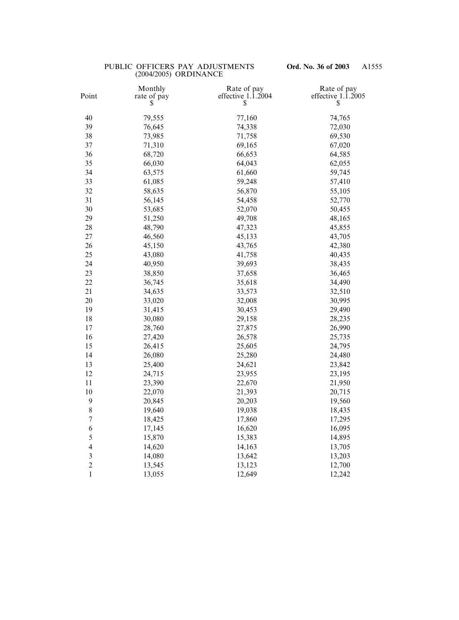| Point            | Monthly<br>rate of pay<br>S | Rate of pay<br>effective $1.\overline{1}.\overline{2}004$<br>\$ | Rate of pay<br>effective $1.\overline{1}.2005$<br>\$ |
|------------------|-----------------------------|-----------------------------------------------------------------|------------------------------------------------------|
| 40               | 79,555                      | 77,160                                                          | 74,765                                               |
| 39               | 76,645                      | 74,338                                                          | 72,030                                               |
| 38               | 73,985                      | 71,758                                                          | 69,530                                               |
| 37               | 71,310                      | 69,165                                                          | 67,020                                               |
| 36               | 68,720                      | 66,653                                                          | 64,585                                               |
| 35               | 66,030                      | 64,043                                                          | 62,055                                               |
| 34               | 63,575                      | 61,660                                                          | 59,745                                               |
| 33               | 61,085                      | 59,248                                                          | 57,410                                               |
| 32               | 58,635                      | 56,870                                                          | 55,105                                               |
| 31               | 56,145                      | 54,458                                                          | 52,770                                               |
| 30               | 53,685                      | 52,070                                                          | 50,455                                               |
| 29               | 51,250                      | 49,708                                                          | 48,165                                               |
| 28               | 48,790                      | 47,323                                                          | 45,855                                               |
| 27               | 46,560                      | 45,133                                                          | 43,705                                               |
| 26               | 45,150                      | 43,765                                                          | 42,380                                               |
| 25               | 43,080                      | 41,758                                                          | 40,435                                               |
| 24               | 40,950                      | 39,693                                                          | 38,435                                               |
| 23               | 38,850                      | 37,658                                                          | 36,465                                               |
| 22               | 36,745                      | 35,618                                                          | 34,490                                               |
| 21               | 34,635                      | 33,573                                                          | 32,510                                               |
| 20               | 33,020                      | 32,008                                                          | 30,995                                               |
| 19               | 31,415                      | 30,453                                                          | 29,490                                               |
| 18               | 30,080                      | 29,158                                                          | 28,235                                               |
| 17               | 28,760                      | 27,875                                                          | 26,990                                               |
| 16               | 27,420                      | 26,578                                                          | 25,735                                               |
| 15               | 26,415                      | 25,605                                                          | 24,795                                               |
| 14               | 26,080                      | 25,280                                                          | 24,480                                               |
| 13               | 25,400                      | 24,621                                                          | 23,842                                               |
| 12               | 24,715                      | 23,955                                                          | 23,195                                               |
| 11               | 23,390                      | 22,670                                                          | 21,950                                               |
| 10               | 22,070                      | 21,393                                                          | 20,715                                               |
| $\boldsymbol{9}$ | 20,845                      | 20,203                                                          | 19,560                                               |
| $\,$ $\,$        | 19,640                      | 19,038                                                          | 18,435                                               |
| $\sqrt{ }$       | 18,425                      | 17,860                                                          | 17,295                                               |
| 6                | 17,145                      | 16,620                                                          | 16,095                                               |
| 5                | 15,870                      | 15,383                                                          | 14,895                                               |
| $\overline{4}$   | 14,620                      | 14,163                                                          | 13,705                                               |
| $\mathfrak{Z}$   | 14,080                      | 13,642                                                          | 13,203                                               |
| $\overline{c}$   | 13,545                      | 13,123                                                          | 12,700                                               |
| $\mathbf{1}$     | 13,055                      | 12,649                                                          | 12,242                                               |